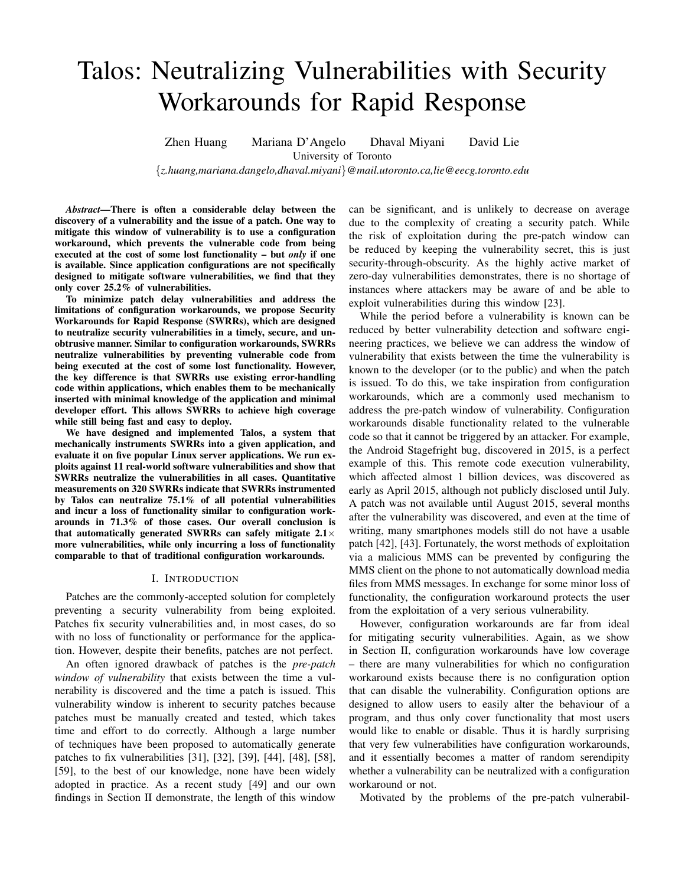# Talos: Neutralizing Vulnerabilities with Security Workarounds for Rapid Response

Zhen Huang Mariana D'Angelo Dhaval Miyani David Lie

University of Toronto

{*z.huang,mariana.dangelo,dhaval.miyani*}*@mail.utoronto.ca,lie@eecg.toronto.edu*

*Abstract*—There is often a considerable delay between the discovery of a vulnerability and the issue of a patch. One way to mitigate this window of vulnerability is to use a configuration workaround, which prevents the vulnerable code from being executed at the cost of some lost functionality – but *only* if one is available. Since application configurations are not specifically designed to mitigate software vulnerabilities, we find that they only cover 25.2% of vulnerabilities.

To minimize patch delay vulnerabilities and address the limitations of configuration workarounds, we propose Security Workarounds for Rapid Response (SWRRs), which are designed to neutralize security vulnerabilities in a timely, secure, and unobtrusive manner. Similar to configuration workarounds, SWRRs neutralize vulnerabilities by preventing vulnerable code from being executed at the cost of some lost functionality. However, the key difference is that SWRRs use existing error-handling code within applications, which enables them to be mechanically inserted with minimal knowledge of the application and minimal developer effort. This allows SWRRs to achieve high coverage while still being fast and easy to deploy.

We have designed and implemented Talos, a system that mechanically instruments SWRRs into a given application, and evaluate it on five popular Linux server applications. We run exploits against 11 real-world software vulnerabilities and show that SWRRs neutralize the vulnerabilities in all cases. Quantitative measurements on 320 SWRRs indicate that SWRRs instrumented by Talos can neutralize 75.1% of all potential vulnerabilities and incur a loss of functionality similar to configuration workarounds in 71.3% of those cases. Our overall conclusion is that automatically generated SWRRs can safely mitigate  $2.1\times$ more vulnerabilities, while only incurring a loss of functionality comparable to that of traditional configuration workarounds.

## I. INTRODUCTION

Patches are the commonly-accepted solution for completely preventing a security vulnerability from being exploited. Patches fix security vulnerabilities and, in most cases, do so with no loss of functionality or performance for the application. However, despite their benefits, patches are not perfect.

An often ignored drawback of patches is the *pre-patch window of vulnerability* that exists between the time a vulnerability is discovered and the time a patch is issued. This vulnerability window is inherent to security patches because patches must be manually created and tested, which takes time and effort to do correctly. Although a large number of techniques have been proposed to automatically generate patches to fix vulnerabilities [31], [32], [39], [44], [48], [58], [59], to the best of our knowledge, none have been widely adopted in practice. As a recent study [49] and our own findings in Section II demonstrate, the length of this window can be significant, and is unlikely to decrease on average due to the complexity of creating a security patch. While the risk of exploitation during the pre-patch window can be reduced by keeping the vulnerability secret, this is just security-through-obscurity. As the highly active market of zero-day vulnerabilities demonstrates, there is no shortage of instances where attackers may be aware of and be able to exploit vulnerabilities during this window [23].

While the period before a vulnerability is known can be reduced by better vulnerability detection and software engineering practices, we believe we can address the window of vulnerability that exists between the time the vulnerability is known to the developer (or to the public) and when the patch is issued. To do this, we take inspiration from configuration workarounds, which are a commonly used mechanism to address the pre-patch window of vulnerability. Configuration workarounds disable functionality related to the vulnerable code so that it cannot be triggered by an attacker. For example, the Android Stagefright bug, discovered in 2015, is a perfect example of this. This remote code execution vulnerability, which affected almost 1 billion devices, was discovered as early as April 2015, although not publicly disclosed until July. A patch was not available until August 2015, several months after the vulnerability was discovered, and even at the time of writing, many smartphones models still do not have a usable patch [42], [43]. Fortunately, the worst methods of exploitation via a malicious MMS can be prevented by configuring the MMS client on the phone to not automatically download media files from MMS messages. In exchange for some minor loss of functionality, the configuration workaround protects the user from the exploitation of a very serious vulnerability.

However, configuration workarounds are far from ideal for mitigating security vulnerabilities. Again, as we show in Section II, configuration workarounds have low coverage – there are many vulnerabilities for which no configuration workaround exists because there is no configuration option that can disable the vulnerability. Configuration options are designed to allow users to easily alter the behaviour of a program, and thus only cover functionality that most users would like to enable or disable. Thus it is hardly surprising that very few vulnerabilities have configuration workarounds, and it essentially becomes a matter of random serendipity whether a vulnerability can be neutralized with a configuration workaround or not.

Motivated by the problems of the pre-patch vulnerabil-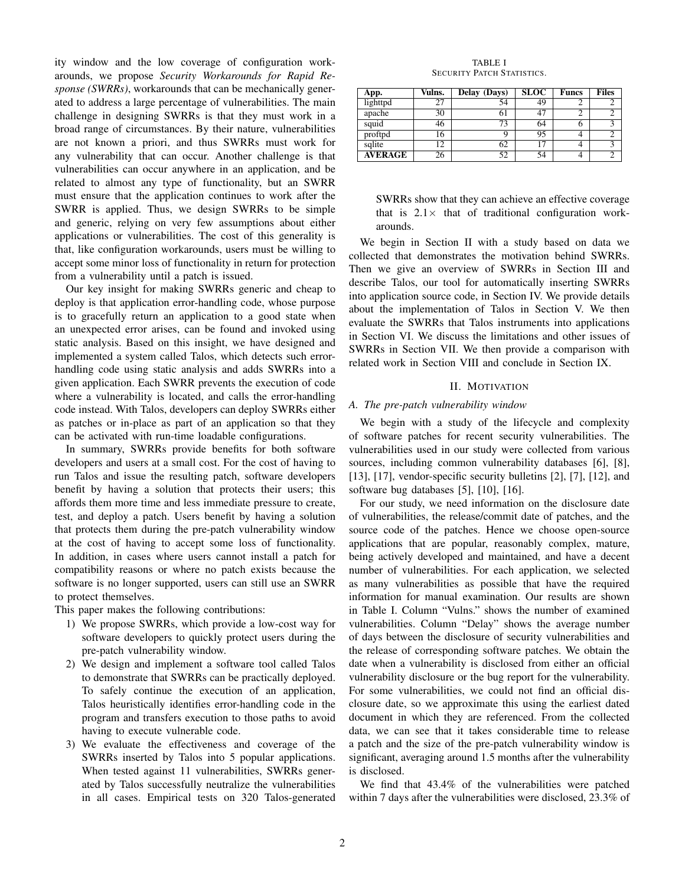ity window and the low coverage of configuration workarounds, we propose *Security Workarounds for Rapid Response (SWRRs)*, workarounds that can be mechanically generated to address a large percentage of vulnerabilities. The main challenge in designing SWRRs is that they must work in a broad range of circumstances. By their nature, vulnerabilities are not known a priori, and thus SWRRs must work for any vulnerability that can occur. Another challenge is that vulnerabilities can occur anywhere in an application, and be related to almost any type of functionality, but an SWRR must ensure that the application continues to work after the SWRR is applied. Thus, we design SWRRs to be simple and generic, relying on very few assumptions about either applications or vulnerabilities. The cost of this generality is that, like configuration workarounds, users must be willing to accept some minor loss of functionality in return for protection from a vulnerability until a patch is issued.

Our key insight for making SWRRs generic and cheap to deploy is that application error-handling code, whose purpose is to gracefully return an application to a good state when an unexpected error arises, can be found and invoked using static analysis. Based on this insight, we have designed and implemented a system called Talos, which detects such errorhandling code using static analysis and adds SWRRs into a given application. Each SWRR prevents the execution of code where a vulnerability is located, and calls the error-handling code instead. With Talos, developers can deploy SWRRs either as patches or in-place as part of an application so that they can be activated with run-time loadable configurations.

In summary, SWRRs provide benefits for both software developers and users at a small cost. For the cost of having to run Talos and issue the resulting patch, software developers benefit by having a solution that protects their users; this affords them more time and less immediate pressure to create, test, and deploy a patch. Users benefit by having a solution that protects them during the pre-patch vulnerability window at the cost of having to accept some loss of functionality. In addition, in cases where users cannot install a patch for compatibility reasons or where no patch exists because the software is no longer supported, users can still use an SWRR to protect themselves.

This paper makes the following contributions:

- 1) We propose SWRRs, which provide a low-cost way for software developers to quickly protect users during the pre-patch vulnerability window.
- 2) We design and implement a software tool called Talos to demonstrate that SWRRs can be practically deployed. To safely continue the execution of an application, Talos heuristically identifies error-handling code in the program and transfers execution to those paths to avoid having to execute vulnerable code.
- 3) We evaluate the effectiveness and coverage of the SWRRs inserted by Talos into 5 popular applications. When tested against 11 vulnerabilities, SWRRs generated by Talos successfully neutralize the vulnerabilities in all cases. Empirical tests on 320 Talos-generated

TABLE I SECURITY PATCH STATISTICS.

| App.           | Vulns. | Delay (Days) | <b>SLOC</b> | <b>Funcs</b> | <b>Files</b> |
|----------------|--------|--------------|-------------|--------------|--------------|
| lighttpd       | 27     | 54           | 49          |              |              |
| apache         | 30     |              | 47          |              |              |
| squid          | 46     | 73           | 64          |              |              |
| proftpd        | 16     |              | 95          |              |              |
| sqlite         | 12     | 62           | 17          |              |              |
| <b>AVERAGE</b> | 26     | 52           | 54          |              |              |

SWRRs show that they can achieve an effective coverage that is  $2.1 \times$  that of traditional configuration workarounds.

We begin in Section II with a study based on data we collected that demonstrates the motivation behind SWRRs. Then we give an overview of SWRRs in Section III and describe Talos, our tool for automatically inserting SWRRs into application source code, in Section IV. We provide details about the implementation of Talos in Section V. We then evaluate the SWRRs that Talos instruments into applications in Section VI. We discuss the limitations and other issues of SWRRs in Section VII. We then provide a comparison with related work in Section VIII and conclude in Section IX.

## II. MOTIVATION

## *A. The pre-patch vulnerability window*

We begin with a study of the lifecycle and complexity of software patches for recent security vulnerabilities. The vulnerabilities used in our study were collected from various sources, including common vulnerability databases [6], [8], [13], [17], vendor-specific security bulletins [2], [7], [12], and software bug databases [5], [10], [16].

For our study, we need information on the disclosure date of vulnerabilities, the release/commit date of patches, and the source code of the patches. Hence we choose open-source applications that are popular, reasonably complex, mature, being actively developed and maintained, and have a decent number of vulnerabilities. For each application, we selected as many vulnerabilities as possible that have the required information for manual examination. Our results are shown in Table I. Column "Vulns." shows the number of examined vulnerabilities. Column "Delay" shows the average number of days between the disclosure of security vulnerabilities and the release of corresponding software patches. We obtain the date when a vulnerability is disclosed from either an official vulnerability disclosure or the bug report for the vulnerability. For some vulnerabilities, we could not find an official disclosure date, so we approximate this using the earliest dated document in which they are referenced. From the collected data, we can see that it takes considerable time to release a patch and the size of the pre-patch vulnerability window is significant, averaging around 1.5 months after the vulnerability is disclosed.

We find that 43.4% of the vulnerabilities were patched within 7 days after the vulnerabilities were disclosed, 23.3% of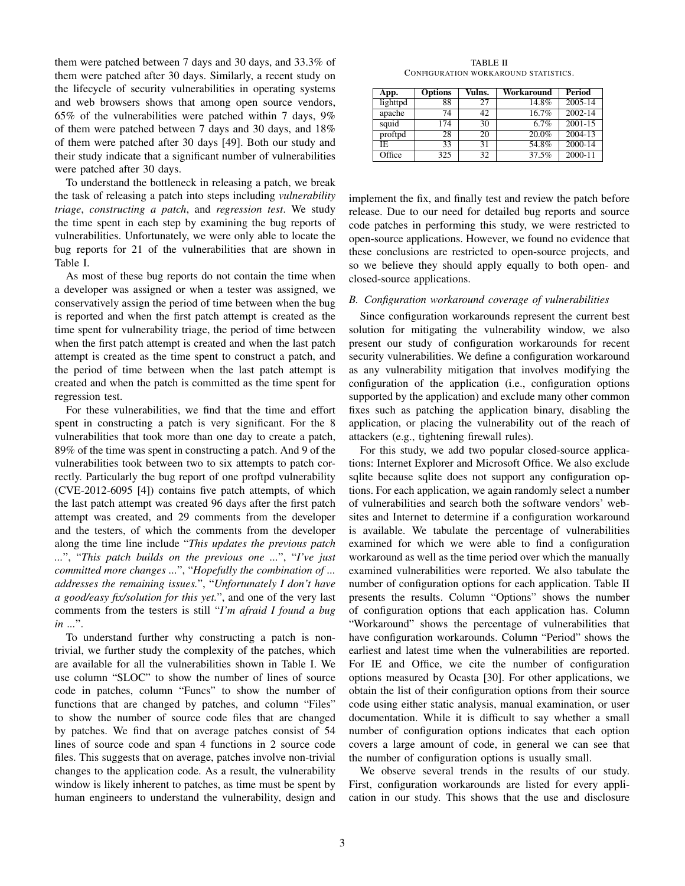them were patched between 7 days and 30 days, and 33.3% of them were patched after 30 days. Similarly, a recent study on the lifecycle of security vulnerabilities in operating systems and web browsers shows that among open source vendors, 65% of the vulnerabilities were patched within 7 days, 9% of them were patched between 7 days and 30 days, and 18% of them were patched after 30 days [49]. Both our study and their study indicate that a significant number of vulnerabilities were patched after 30 days.

To understand the bottleneck in releasing a patch, we break the task of releasing a patch into steps including *vulnerability triage*, *constructing a patch*, and *regression test*. We study the time spent in each step by examining the bug reports of vulnerabilities. Unfortunately, we were only able to locate the bug reports for 21 of the vulnerabilities that are shown in Table I.

As most of these bug reports do not contain the time when a developer was assigned or when a tester was assigned, we conservatively assign the period of time between when the bug is reported and when the first patch attempt is created as the time spent for vulnerability triage, the period of time between when the first patch attempt is created and when the last patch attempt is created as the time spent to construct a patch, and the period of time between when the last patch attempt is created and when the patch is committed as the time spent for regression test.

For these vulnerabilities, we find that the time and effort spent in constructing a patch is very significant. For the 8 vulnerabilities that took more than one day to create a patch, 89% of the time was spent in constructing a patch. And 9 of the vulnerabilities took between two to six attempts to patch correctly. Particularly the bug report of one proftpd vulnerability (CVE-2012-6095 [4]) contains five patch attempts, of which the last patch attempt was created 96 days after the first patch attempt was created, and 29 comments from the developer and the testers, of which the comments from the developer along the time line include "*This updates the previous patch ...*", "*This patch builds on the previous one ...*", "*I've just committed more changes ...*", "*Hopefully the combination of ... addresses the remaining issues.*", "*Unfortunately I don't have a good/easy fix/solution for this yet.*", and one of the very last comments from the testers is still "*I'm afraid I found a bug in ...*".

To understand further why constructing a patch is nontrivial, we further study the complexity of the patches, which are available for all the vulnerabilities shown in Table I. We use column "SLOC" to show the number of lines of source code in patches, column "Funcs" to show the number of functions that are changed by patches, and column "Files" to show the number of source code files that are changed by patches. We find that on average patches consist of 54 lines of source code and span 4 functions in 2 source code files. This suggests that on average, patches involve non-trivial changes to the application code. As a result, the vulnerability window is likely inherent to patches, as time must be spent by human engineers to understand the vulnerability, design and

TABLE II CONFIGURATION WORKAROUND STATISTICS.

| App.     | <b>Options</b> | Vulns. | Workaround | Period      |
|----------|----------------|--------|------------|-------------|
| lighttpd | 88             | 27     | 14.8%      | 2005-14     |
| apache   | 74             | 42     | 16.7%      | $2002 - 14$ |
| squid    | 174            | 30     | 6.7%       | $2001 - 15$ |
| proftpd  | 28             | 20     | 20.0%      | 2004-13     |
| IE       | 33             | 31     | 54.8%      | 2000-14     |
| Office   | 325            | 32     | 37.5%      | 2000-11     |

implement the fix, and finally test and review the patch before release. Due to our need for detailed bug reports and source code patches in performing this study, we were restricted to open-source applications. However, we found no evidence that these conclusions are restricted to open-source projects, and so we believe they should apply equally to both open- and closed-source applications.

## *B. Configuration workaround coverage of vulnerabilities*

Since configuration workarounds represent the current best solution for mitigating the vulnerability window, we also present our study of configuration workarounds for recent security vulnerabilities. We define a configuration workaround as any vulnerability mitigation that involves modifying the configuration of the application (i.e., configuration options supported by the application) and exclude many other common fixes such as patching the application binary, disabling the application, or placing the vulnerability out of the reach of attackers (e.g., tightening firewall rules).

For this study, we add two popular closed-source applications: Internet Explorer and Microsoft Office. We also exclude sqlite because sqlite does not support any configuration options. For each application, we again randomly select a number of vulnerabilities and search both the software vendors' websites and Internet to determine if a configuration workaround is available. We tabulate the percentage of vulnerabilities examined for which we were able to find a configuration workaround as well as the time period over which the manually examined vulnerabilities were reported. We also tabulate the number of configuration options for each application. Table II presents the results. Column "Options" shows the number of configuration options that each application has. Column "Workaround" shows the percentage of vulnerabilities that have configuration workarounds. Column "Period" shows the earliest and latest time when the vulnerabilities are reported. For IE and Office, we cite the number of configuration options measured by Ocasta [30]. For other applications, we obtain the list of their configuration options from their source code using either static analysis, manual examination, or user documentation. While it is difficult to say whether a small number of configuration options indicates that each option covers a large amount of code, in general we can see that the number of configuration options is usually small.

We observe several trends in the results of our study. First, configuration workarounds are listed for every application in our study. This shows that the use and disclosure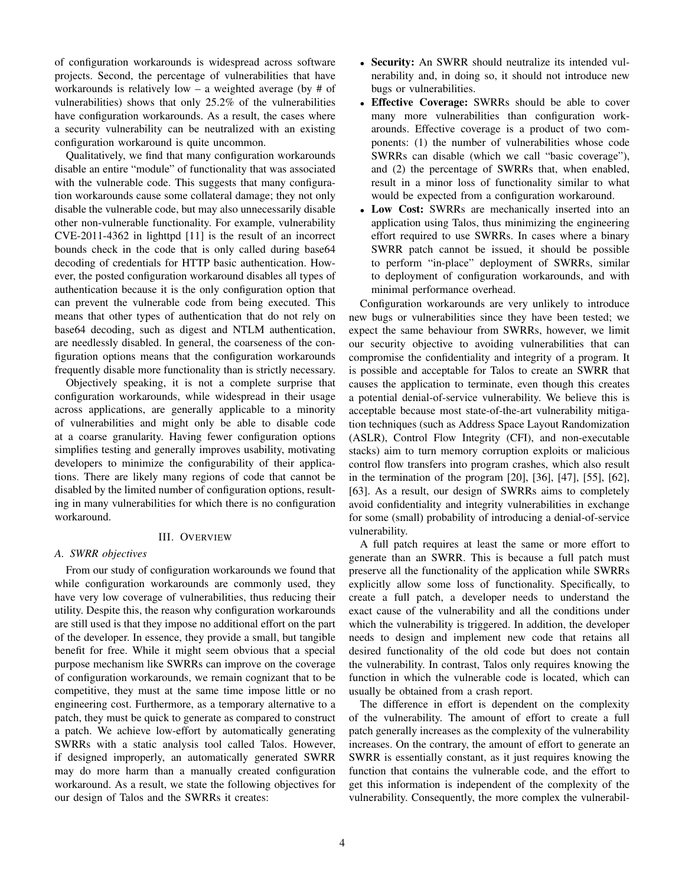of configuration workarounds is widespread across software projects. Second, the percentage of vulnerabilities that have workarounds is relatively low – a weighted average (by  $\#$  of vulnerabilities) shows that only 25.2% of the vulnerabilities have configuration workarounds. As a result, the cases where a security vulnerability can be neutralized with an existing configuration workaround is quite uncommon.

Qualitatively, we find that many configuration workarounds disable an entire "module" of functionality that was associated with the vulnerable code. This suggests that many configuration workarounds cause some collateral damage; they not only disable the vulnerable code, but may also unnecessarily disable other non-vulnerable functionality. For example, vulnerability CVE-2011-4362 in lighttpd [11] is the result of an incorrect bounds check in the code that is only called during base64 decoding of credentials for HTTP basic authentication. However, the posted configuration workaround disables all types of authentication because it is the only configuration option that can prevent the vulnerable code from being executed. This means that other types of authentication that do not rely on base64 decoding, such as digest and NTLM authentication, are needlessly disabled. In general, the coarseness of the configuration options means that the configuration workarounds frequently disable more functionality than is strictly necessary.

Objectively speaking, it is not a complete surprise that configuration workarounds, while widespread in their usage across applications, are generally applicable to a minority of vulnerabilities and might only be able to disable code at a coarse granularity. Having fewer configuration options simplifies testing and generally improves usability, motivating developers to minimize the configurability of their applications. There are likely many regions of code that cannot be disabled by the limited number of configuration options, resulting in many vulnerabilities for which there is no configuration workaround.

## III. OVERVIEW

# *A. SWRR objectives*

From our study of configuration workarounds we found that while configuration workarounds are commonly used, they have very low coverage of vulnerabilities, thus reducing their utility. Despite this, the reason why configuration workarounds are still used is that they impose no additional effort on the part of the developer. In essence, they provide a small, but tangible benefit for free. While it might seem obvious that a special purpose mechanism like SWRRs can improve on the coverage of configuration workarounds, we remain cognizant that to be competitive, they must at the same time impose little or no engineering cost. Furthermore, as a temporary alternative to a patch, they must be quick to generate as compared to construct a patch. We achieve low-effort by automatically generating SWRRs with a static analysis tool called Talos. However, if designed improperly, an automatically generated SWRR may do more harm than a manually created configuration workaround. As a result, we state the following objectives for our design of Talos and the SWRRs it creates:

- Security: An SWRR should neutralize its intended vulnerability and, in doing so, it should not introduce new bugs or vulnerabilities.
- Effective Coverage: SWRRs should be able to cover many more vulnerabilities than configuration workarounds. Effective coverage is a product of two components: (1) the number of vulnerabilities whose code SWRRs can disable (which we call "basic coverage"), and (2) the percentage of SWRRs that, when enabled, result in a minor loss of functionality similar to what would be expected from a configuration workaround.
- Low Cost: SWRRs are mechanically inserted into an application using Talos, thus minimizing the engineering effort required to use SWRRs. In cases where a binary SWRR patch cannot be issued, it should be possible to perform "in-place" deployment of SWRRs, similar to deployment of configuration workarounds, and with minimal performance overhead.

Configuration workarounds are very unlikely to introduce new bugs or vulnerabilities since they have been tested; we expect the same behaviour from SWRRs, however, we limit our security objective to avoiding vulnerabilities that can compromise the confidentiality and integrity of a program. It is possible and acceptable for Talos to create an SWRR that causes the application to terminate, even though this creates a potential denial-of-service vulnerability. We believe this is acceptable because most state-of-the-art vulnerability mitigation techniques (such as Address Space Layout Randomization (ASLR), Control Flow Integrity (CFI), and non-executable stacks) aim to turn memory corruption exploits or malicious control flow transfers into program crashes, which also result in the termination of the program [20], [36], [47], [55], [62], [63]. As a result, our design of SWRRs aims to completely avoid confidentiality and integrity vulnerabilities in exchange for some (small) probability of introducing a denial-of-service vulnerability.

A full patch requires at least the same or more effort to generate than an SWRR. This is because a full patch must preserve all the functionality of the application while SWRRs explicitly allow some loss of functionality. Specifically, to create a full patch, a developer needs to understand the exact cause of the vulnerability and all the conditions under which the vulnerability is triggered. In addition, the developer needs to design and implement new code that retains all desired functionality of the old code but does not contain the vulnerability. In contrast, Talos only requires knowing the function in which the vulnerable code is located, which can usually be obtained from a crash report.

The difference in effort is dependent on the complexity of the vulnerability. The amount of effort to create a full patch generally increases as the complexity of the vulnerability increases. On the contrary, the amount of effort to generate an SWRR is essentially constant, as it just requires knowing the function that contains the vulnerable code, and the effort to get this information is independent of the complexity of the vulnerability. Consequently, the more complex the vulnerabil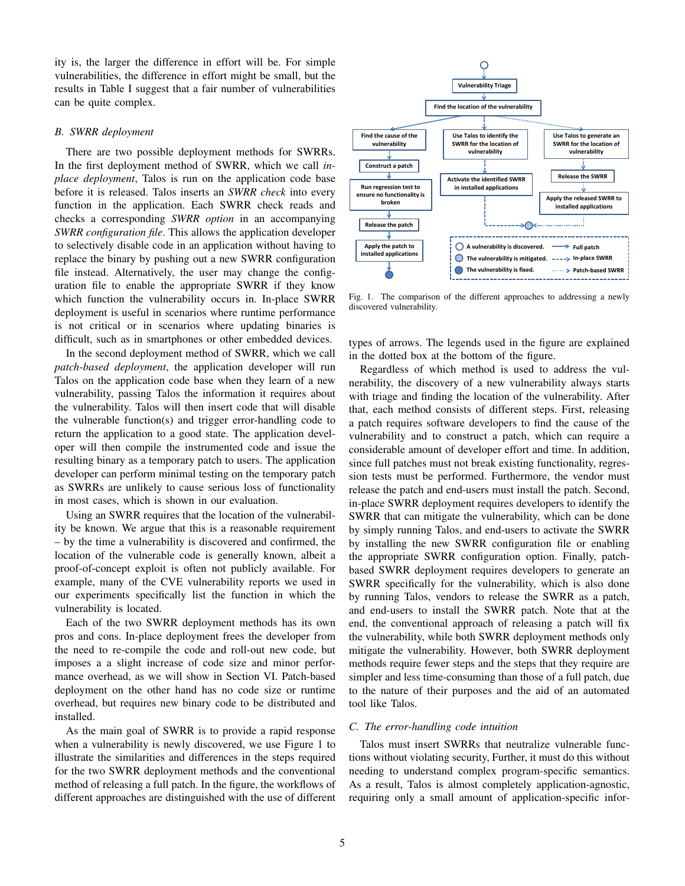ity is, the larger the difference in effort will be. For simple vulnerabilities, the difference in effort might be small, but the results in Table I suggest that a fair number of vulnerabilities can be quite complex.

#### *B. SWRR deployment*

There are two possible deployment methods for SWRRs. In the first deployment method of SWRR, which we call *inplace deployment*, Talos is run on the application code base before it is released. Talos inserts an *SWRR check* into every function in the application. Each SWRR check reads and checks a corresponding *SWRR option* in an accompanying *SWRR configuration file*. This allows the application developer to selectively disable code in an application without having to replace the binary by pushing out a new SWRR configuration file instead. Alternatively, the user may change the configuration file to enable the appropriate SWRR if they know which function the vulnerability occurs in. In-place SWRR deployment is useful in scenarios where runtime performance is not critical or in scenarios where updating binaries is difficult, such as in smartphones or other embedded devices.

In the second deployment method of SWRR, which we call *patch-based deployment*, the application developer will run Talos on the application code base when they learn of a new vulnerability, passing Talos the information it requires about the vulnerability. Talos will then insert code that will disable the vulnerable function(s) and trigger error-handling code to return the application to a good state. The application developer will then compile the instrumented code and issue the resulting binary as a temporary patch to users. The application developer can perform minimal testing on the temporary patch as SWRRs are unlikely to cause serious loss of functionality in most cases, which is shown in our evaluation.

Using an SWRR requires that the location of the vulnerability be known. We argue that this is a reasonable requirement – by the time a vulnerability is discovered and confirmed, the location of the vulnerable code is generally known, albeit a proof-of-concept exploit is often not publicly available. For example, many of the CVE vulnerability reports we used in our experiments specifically list the function in which the vulnerability is located.

Each of the two SWRR deployment methods has its own pros and cons. In-place deployment frees the developer from the need to re-compile the code and roll-out new code, but imposes a a slight increase of code size and minor performance overhead, as we will show in Section VI. Patch-based deployment on the other hand has no code size or runtime overhead, but requires new binary code to be distributed and installed.

As the main goal of SWRR is to provide a rapid response when a vulnerability is newly discovered, we use Figure 1 to illustrate the similarities and differences in the steps required for the two SWRR deployment methods and the conventional method of releasing a full patch. In the figure, the workflows of different approaches are distinguished with the use of different



Fig. 1. The comparison of the different approaches to addressing a newly discovered vulnerability.

types of arrows. The legends used in the figure are explained in the dotted box at the bottom of the figure.

Regardless of which method is used to address the vulnerability, the discovery of a new vulnerability always starts with triage and finding the location of the vulnerability. After that, each method consists of different steps. First, releasing a patch requires software developers to find the cause of the vulnerability and to construct a patch, which can require a considerable amount of developer effort and time. In addition, since full patches must not break existing functionality, regression tests must be performed. Furthermore, the vendor must release the patch and end-users must install the patch. Second, in-place SWRR deployment requires developers to identify the SWRR that can mitigate the vulnerability, which can be done by simply running Talos, and end-users to activate the SWRR by installing the new SWRR configuration file or enabling the appropriate SWRR configuration option. Finally, patchbased SWRR deployment requires developers to generate an SWRR specifically for the vulnerability, which is also done by running Talos, vendors to release the SWRR as a patch, and end-users to install the SWRR patch. Note that at the end, the conventional approach of releasing a patch will fix the vulnerability, while both SWRR deployment methods only mitigate the vulnerability. However, both SWRR deployment methods require fewer steps and the steps that they require are simpler and less time-consuming than those of a full patch, due to the nature of their purposes and the aid of an automated tool like Talos.

## *C. The error-handling code intuition*

Talos must insert SWRRs that neutralize vulnerable functions without violating security, Further, it must do this without needing to understand complex program-specific semantics. As a result, Talos is almost completely application-agnostic, requiring only a small amount of application-specific infor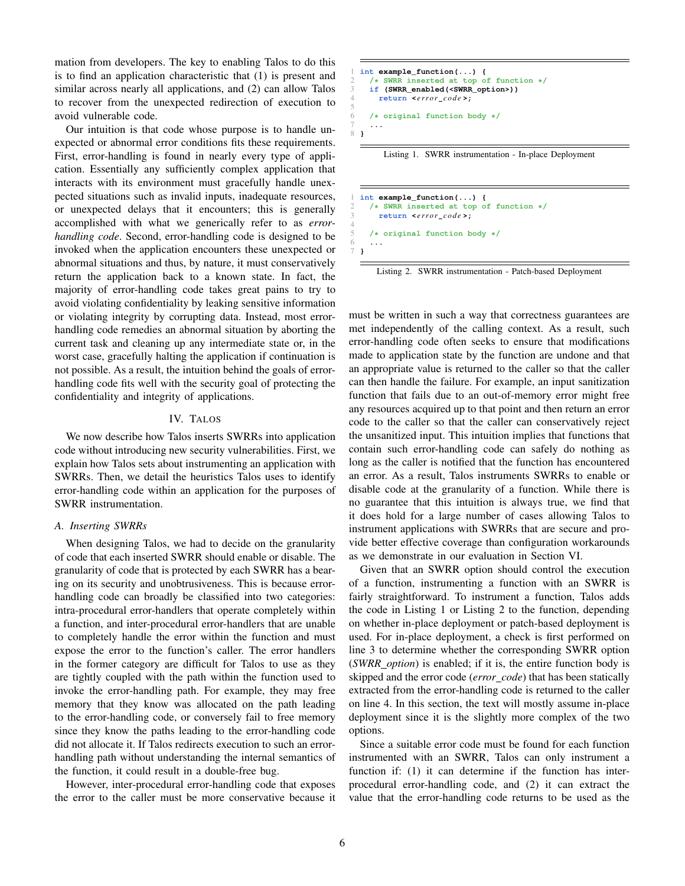mation from developers. The key to enabling Talos to do this is to find an application characteristic that (1) is present and similar across nearly all applications, and (2) can allow Talos to recover from the unexpected redirection of execution to avoid vulnerable code.

Our intuition is that code whose purpose is to handle unexpected or abnormal error conditions fits these requirements. First, error-handling is found in nearly every type of application. Essentially any sufficiently complex application that interacts with its environment must gracefully handle unexpected situations such as invalid inputs, inadequate resources, or unexpected delays that it encounters; this is generally accomplished with what we generically refer to as *errorhandling code*. Second, error-handling code is designed to be invoked when the application encounters these unexpected or abnormal situations and thus, by nature, it must conservatively return the application back to a known state. In fact, the majority of error-handling code takes great pains to try to avoid violating confidentiality by leaking sensitive information or violating integrity by corrupting data. Instead, most errorhandling code remedies an abnormal situation by aborting the current task and cleaning up any intermediate state or, in the worst case, gracefully halting the application if continuation is not possible. As a result, the intuition behind the goals of errorhandling code fits well with the security goal of protecting the confidentiality and integrity of applications.

# IV. TALOS

We now describe how Talos inserts SWRRs into application code without introducing new security vulnerabilities. First, we explain how Talos sets about instrumenting an application with SWRRs. Then, we detail the heuristics Talos uses to identify error-handling code within an application for the purposes of SWRR instrumentation.

#### *A. Inserting SWRRs*

When designing Talos, we had to decide on the granularity of code that each inserted SWRR should enable or disable. The granularity of code that is protected by each SWRR has a bearing on its security and unobtrusiveness. This is because errorhandling code can broadly be classified into two categories: intra-procedural error-handlers that operate completely within a function, and inter-procedural error-handlers that are unable to completely handle the error within the function and must expose the error to the function's caller. The error handlers in the former category are difficult for Talos to use as they are tightly coupled with the path within the function used to invoke the error-handling path. For example, they may free memory that they know was allocated on the path leading to the error-handling code, or conversely fail to free memory since they know the paths leading to the error-handling code did not allocate it. If Talos redirects execution to such an errorhandling path without understanding the internal semantics of the function, it could result in a double-free bug.

However, inter-procedural error-handling code that exposes the error to the caller must be more conservative because it

```
int example function( \ldots) {
    2 /* SWRR inserted at top of function */
    3 if (SWRR_enabled(<SWRR_option>))
      4 return <e r r o r c o d e >;
5
6 /* original function body */
7 ...
8 }
```
Listing 1. SWRR instrumentation - In-place Deployment

```
1 int example_function(...) {
     2 /* SWRR inserted at top of function */
       3 return <e r r o r c o d e >;
     5 /* original function body */
6 ...
  7 }
```
4

Listing 2. SWRR instrumentation - Patch-based Deployment

must be written in such a way that correctness guarantees are met independently of the calling context. As a result, such error-handling code often seeks to ensure that modifications made to application state by the function are undone and that an appropriate value is returned to the caller so that the caller can then handle the failure. For example, an input sanitization function that fails due to an out-of-memory error might free any resources acquired up to that point and then return an error code to the caller so that the caller can conservatively reject the unsanitized input. This intuition implies that functions that contain such error-handling code can safely do nothing as long as the caller is notified that the function has encountered an error. As a result, Talos instruments SWRRs to enable or disable code at the granularity of a function. While there is no guarantee that this intuition is always true, we find that it does hold for a large number of cases allowing Talos to instrument applications with SWRRs that are secure and provide better effective coverage than configuration workarounds as we demonstrate in our evaluation in Section VI.

Given that an SWRR option should control the execution of a function, instrumenting a function with an SWRR is fairly straightforward. To instrument a function, Talos adds the code in Listing 1 or Listing 2 to the function, depending on whether in-place deployment or patch-based deployment is used. For in-place deployment, a check is first performed on line 3 to determine whether the corresponding SWRR option (*SWRR option*) is enabled; if it is, the entire function body is skipped and the error code (*error code*) that has been statically extracted from the error-handling code is returned to the caller on line 4. In this section, the text will mostly assume in-place deployment since it is the slightly more complex of the two options.

Since a suitable error code must be found for each function instrumented with an SWRR, Talos can only instrument a function if: (1) it can determine if the function has interprocedural error-handling code, and (2) it can extract the value that the error-handling code returns to be used as the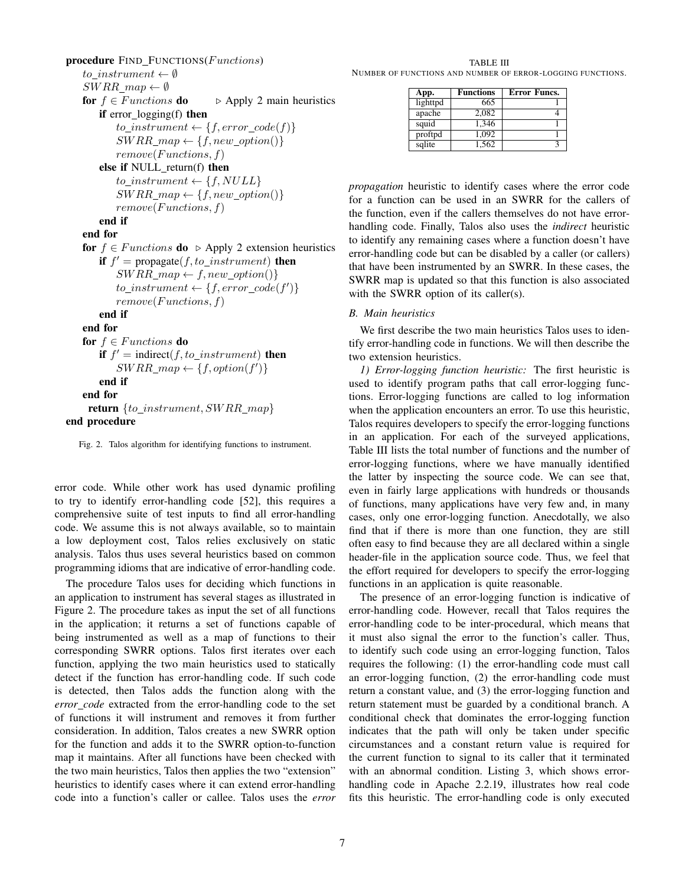$procedure$   $FIND$ <sub> $FUNCTIONS(Functions)$ </sub> to instrument  $\leftarrow \emptyset$  $SWRR\_map \leftarrow \emptyset$ for  $f \in Functions$  do  $\rightarrow$  Apply 2 main heuristics if error\_logging(f) then  $to\_instrument \leftarrow \{f, error\_code(f)\}$  $SWRR\_map \leftarrow \{f, new\_option() \}$  $remove(Functions, f)$ else if NULL return(f) then  $to\_instrument \leftarrow \{f, NULL\}$  $SWRR\_map \leftarrow \{f, new\_option() \}$  $remove(Functions, f)$ end if end for for  $f \in Functions$  do  $\rhd$  Apply 2 extension heuristics if  $f' =$  propagate $(f, to\_instrument)$  then  $SWRR\_map \leftarrow f, new\_option()$  $to\_instrument \leftarrow \{f, error\_code(f')\}$  $remove(Functions, f)$ end if end for for  $f \in Functions$  do if  $f' = \text{indirect}(f, to\_instrument)$  then  $SWRR\_map \leftarrow \{f, option(f')\}$ end if end for return {to\_instrument, SWRR\_map}

#### end procedure

Fig. 2. Talos algorithm for identifying functions to instrument.

error code. While other work has used dynamic profiling to try to identify error-handling code [52], this requires a comprehensive suite of test inputs to find all error-handling code. We assume this is not always available, so to maintain a low deployment cost, Talos relies exclusively on static analysis. Talos thus uses several heuristics based on common programming idioms that are indicative of error-handling code.

The procedure Talos uses for deciding which functions in an application to instrument has several stages as illustrated in Figure 2. The procedure takes as input the set of all functions in the application; it returns a set of functions capable of being instrumented as well as a map of functions to their corresponding SWRR options. Talos first iterates over each function, applying the two main heuristics used to statically detect if the function has error-handling code. If such code is detected, then Talos adds the function along with the *error code* extracted from the error-handling code to the set of functions it will instrument and removes it from further consideration. In addition, Talos creates a new SWRR option for the function and adds it to the SWRR option-to-function map it maintains. After all functions have been checked with the two main heuristics, Talos then applies the two "extension" heuristics to identify cases where it can extend error-handling code into a function's caller or callee. Talos uses the *error*

TABLE III NUMBER OF FUNCTIONS AND NUMBER OF ERROR-LOGGING FUNCTIONS.

| App.     | <b>Functions</b> | Error Funcs. |
|----------|------------------|--------------|
| lighttpd | 665              |              |
| apache   | 2,082            |              |
| squid    | 1.346            |              |
| proftpd  | 1,092            |              |
| sqlite   | 1.562            |              |

*propagation* heuristic to identify cases where the error code for a function can be used in an SWRR for the callers of the function, even if the callers themselves do not have errorhandling code. Finally, Talos also uses the *indirect* heuristic to identify any remaining cases where a function doesn't have error-handling code but can be disabled by a caller (or callers) that have been instrumented by an SWRR. In these cases, the SWRR map is updated so that this function is also associated with the SWRR option of its caller(s).

# *B. Main heuristics*

We first describe the two main heuristics Talos uses to identify error-handling code in functions. We will then describe the two extension heuristics.

*1) Error-logging function heuristic:* The first heuristic is used to identify program paths that call error-logging functions. Error-logging functions are called to log information when the application encounters an error. To use this heuristic, Talos requires developers to specify the error-logging functions in an application. For each of the surveyed applications, Table III lists the total number of functions and the number of error-logging functions, where we have manually identified the latter by inspecting the source code. We can see that, even in fairly large applications with hundreds or thousands of functions, many applications have very few and, in many cases, only one error-logging function. Anecdotally, we also find that if there is more than one function, they are still often easy to find because they are all declared within a single header-file in the application source code. Thus, we feel that the effort required for developers to specify the error-logging functions in an application is quite reasonable.

The presence of an error-logging function is indicative of error-handling code. However, recall that Talos requires the error-handling code to be inter-procedural, which means that it must also signal the error to the function's caller. Thus, to identify such code using an error-logging function, Talos requires the following: (1) the error-handling code must call an error-logging function, (2) the error-handling code must return a constant value, and (3) the error-logging function and return statement must be guarded by a conditional branch. A conditional check that dominates the error-logging function indicates that the path will only be taken under specific circumstances and a constant return value is required for the current function to signal to its caller that it terminated with an abnormal condition. Listing 3, which shows errorhandling code in Apache 2.2.19, illustrates how real code fits this heuristic. The error-handling code is only executed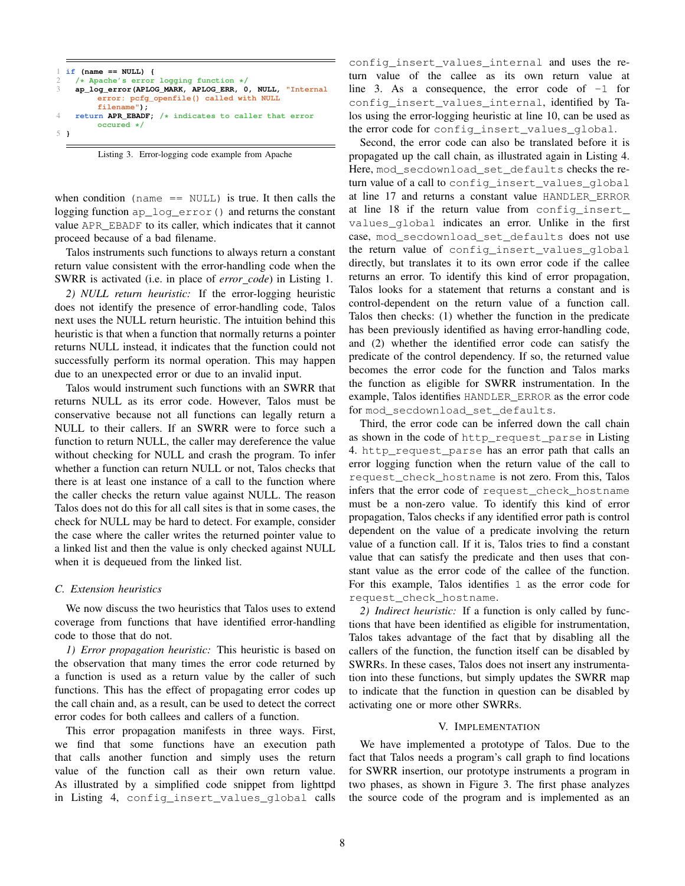```
1 if (name == NULL) {
2 /* Apache's error logging function */
3 ap_log_error(APLOG_MARK, APLOG_ERR, 0, NULL, "Internal
          error: pcfg_openfile() called with NULL
          filename");
4 return APR_EBADF; /* indicates to caller that error
          occured */
5 }
```
Listing 3. Error-logging code example from Apache

when condition (name  $==$  NULL) is true. It then calls the logging function ap\_log\_error() and returns the constant value APR EBADF to its caller, which indicates that it cannot proceed because of a bad filename.

Talos instruments such functions to always return a constant return value consistent with the error-handling code when the SWRR is activated (i.e. in place of *error code*) in Listing 1.

*2) NULL return heuristic:* If the error-logging heuristic does not identify the presence of error-handling code, Talos next uses the NULL return heuristic. The intuition behind this heuristic is that when a function that normally returns a pointer returns NULL instead, it indicates that the function could not successfully perform its normal operation. This may happen due to an unexpected error or due to an invalid input.

Talos would instrument such functions with an SWRR that returns NULL as its error code. However, Talos must be conservative because not all functions can legally return a NULL to their callers. If an SWRR were to force such a function to return NULL, the caller may dereference the value without checking for NULL and crash the program. To infer whether a function can return NULL or not, Talos checks that there is at least one instance of a call to the function where the caller checks the return value against NULL. The reason Talos does not do this for all call sites is that in some cases, the check for NULL may be hard to detect. For example, consider the case where the caller writes the returned pointer value to a linked list and then the value is only checked against NULL when it is dequeued from the linked list.

#### *C. Extension heuristics*

We now discuss the two heuristics that Talos uses to extend coverage from functions that have identified error-handling code to those that do not.

*1) Error propagation heuristic:* This heuristic is based on the observation that many times the error code returned by a function is used as a return value by the caller of such functions. This has the effect of propagating error codes up the call chain and, as a result, can be used to detect the correct error codes for both callees and callers of a function.

This error propagation manifests in three ways. First, we find that some functions have an execution path that calls another function and simply uses the return value of the function call as their own return value. As illustrated by a simplified code snippet from lighttpd in Listing 4, config\_insert\_values\_global calls config\_insert\_values\_internal and uses the return value of the callee as its own return value at line 3. As a consequence, the error code of -1 for config\_insert\_values\_internal, identified by Talos using the error-logging heuristic at line 10, can be used as the error code for config\_insert\_values\_global.

Second, the error code can also be translated before it is propagated up the call chain, as illustrated again in Listing 4. Here, mod\_secdownload\_set\_defaults checks the return value of a call to config\_insert\_values\_global at line 17 and returns a constant value HANDLER\_ERROR at line 18 if the return value from config\_insert\_ values\_global indicates an error. Unlike in the first case, mod secdownload set defaults does not use the return value of config\_insert\_values\_global directly, but translates it to its own error code if the callee returns an error. To identify this kind of error propagation, Talos looks for a statement that returns a constant and is control-dependent on the return value of a function call. Talos then checks: (1) whether the function in the predicate has been previously identified as having error-handling code, and (2) whether the identified error code can satisfy the predicate of the control dependency. If so, the returned value becomes the error code for the function and Talos marks the function as eligible for SWRR instrumentation. In the example, Talos identifies HANDLER\_ERROR as the error code for mod secdownload set defaults.

Third, the error code can be inferred down the call chain as shown in the code of http\_request\_parse in Listing 4. http request parse has an error path that calls an error logging function when the return value of the call to request\_check\_hostname is not zero. From this, Talos infers that the error code of request\_check\_hostname must be a non-zero value. To identify this kind of error propagation, Talos checks if any identified error path is control dependent on the value of a predicate involving the return value of a function call. If it is, Talos tries to find a constant value that can satisfy the predicate and then uses that constant value as the error code of the callee of the function. For this example, Talos identifies 1 as the error code for request\_check\_hostname.

*2) Indirect heuristic:* If a function is only called by functions that have been identified as eligible for instrumentation, Talos takes advantage of the fact that by disabling all the callers of the function, the function itself can be disabled by SWRRs. In these cases, Talos does not insert any instrumentation into these functions, but simply updates the SWRR map to indicate that the function in question can be disabled by activating one or more other SWRRs.

## V. IMPLEMENTATION

We have implemented a prototype of Talos. Due to the fact that Talos needs a program's call graph to find locations for SWRR insertion, our prototype instruments a program in two phases, as shown in Figure 3. The first phase analyzes the source code of the program and is implemented as an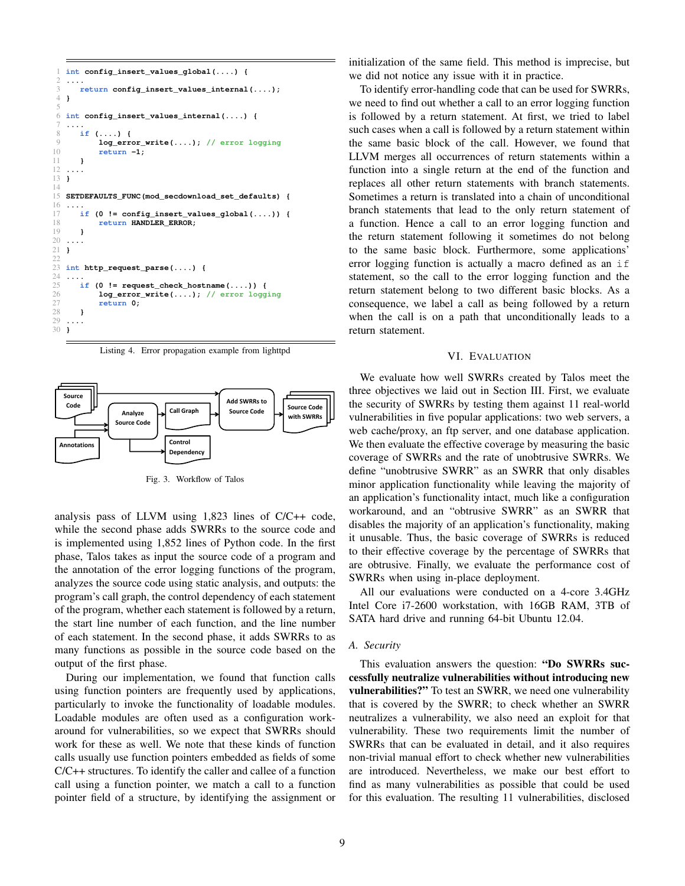```
int config insert values qlobal(...) {
   2 ....
      3 return config_insert_values_internal(....);
 4 }
 5
6 int config insert values internal(....) {
 7 ....
\begin{array}{cc} 8 & \text{if } (\ldots) \\ 9 & \text{log err} \end{array}9 log_error_write(....); // error logging
           10 return -1;
11 }
12 ....
13 }
14
15 SETDEFAULTS_FUNC(mod_secdownload_set_defaults) {
16 ....
17 if (0 != config_insert_values_global(....)) {
18 return HANDLER_ERROR;
19 }
20 ....
21 }
rac{22}{23}23 int http_request_parse(....) {
24 ....
25 if (0 != request_check_hostname(....)) {
           26 log_error_write(....); // error logging
           27 return 0;
28 }
29 ....
   30 }
```
Listing 4. Error propagation example from lighttpd



Fig. 3. Workflow of Talos

analysis pass of LLVM using 1,823 lines of C/C++ code, while the second phase adds SWRRs to the source code and is implemented using 1,852 lines of Python code. In the first phase, Talos takes as input the source code of a program and the annotation of the error logging functions of the program, analyzes the source code using static analysis, and outputs: the program's call graph, the control dependency of each statement of the program, whether each statement is followed by a return, the start line number of each function, and the line number of each statement. In the second phase, it adds SWRRs to as many functions as possible in the source code based on the output of the first phase.

During our implementation, we found that function calls using function pointers are frequently used by applications, particularly to invoke the functionality of loadable modules. Loadable modules are often used as a configuration workaround for vulnerabilities, so we expect that SWRRs should work for these as well. We note that these kinds of function calls usually use function pointers embedded as fields of some C/C++ structures. To identify the caller and callee of a function call using a function pointer, we match a call to a function pointer field of a structure, by identifying the assignment or initialization of the same field. This method is imprecise, but we did not notice any issue with it in practice.

To identify error-handling code that can be used for SWRRs, we need to find out whether a call to an error logging function is followed by a return statement. At first, we tried to label such cases when a call is followed by a return statement within the same basic block of the call. However, we found that LLVM merges all occurrences of return statements within a function into a single return at the end of the function and replaces all other return statements with branch statements. Sometimes a return is translated into a chain of unconditional branch statements that lead to the only return statement of a function. Hence a call to an error logging function and the return statement following it sometimes do not belong to the same basic block. Furthermore, some applications' error logging function is actually a macro defined as an if statement, so the call to the error logging function and the return statement belong to two different basic blocks. As a consequence, we label a call as being followed by a return when the call is on a path that unconditionally leads to a return statement.

#### VI. EVALUATION

We evaluate how well SWRRs created by Talos meet the three objectives we laid out in Section III. First, we evaluate the security of SWRRs by testing them against 11 real-world vulnerabilities in five popular applications: two web servers, a web cache/proxy, an ftp server, and one database application. We then evaluate the effective coverage by measuring the basic coverage of SWRRs and the rate of unobtrusive SWRRs. We define "unobtrusive SWRR" as an SWRR that only disables minor application functionality while leaving the majority of an application's functionality intact, much like a configuration workaround, and an "obtrusive SWRR" as an SWRR that disables the majority of an application's functionality, making it unusable. Thus, the basic coverage of SWRRs is reduced to their effective coverage by the percentage of SWRRs that are obtrusive. Finally, we evaluate the performance cost of SWRRs when using in-place deployment.

All our evaluations were conducted on a 4-core 3.4GHz Intel Core i7-2600 workstation, with 16GB RAM, 3TB of SATA hard drive and running 64-bit Ubuntu 12.04.

#### *A. Security*

This evaluation answers the question: "Do SWRRs successfully neutralize vulnerabilities without introducing new vulnerabilities?" To test an SWRR, we need one vulnerability that is covered by the SWRR; to check whether an SWRR neutralizes a vulnerability, we also need an exploit for that vulnerability. These two requirements limit the number of SWRRs that can be evaluated in detail, and it also requires non-trivial manual effort to check whether new vulnerabilities are introduced. Nevertheless, we make our best effort to find as many vulnerabilities as possible that could be used for this evaluation. The resulting 11 vulnerabilities, disclosed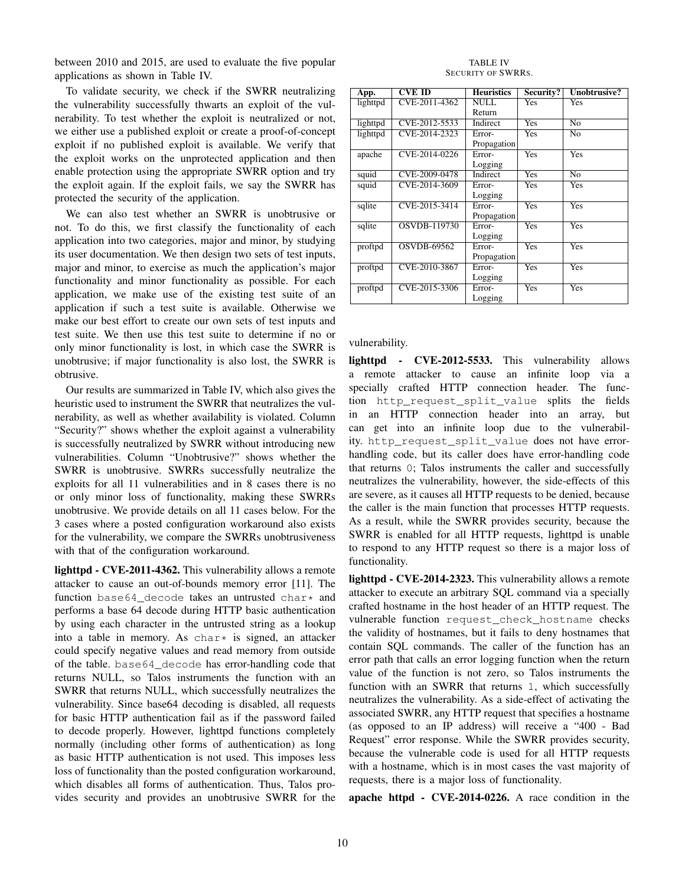between 2010 and 2015, are used to evaluate the five popular applications as shown in Table IV.

To validate security, we check if the SWRR neutralizing the vulnerability successfully thwarts an exploit of the vulnerability. To test whether the exploit is neutralized or not, we either use a published exploit or create a proof-of-concept exploit if no published exploit is available. We verify that the exploit works on the unprotected application and then enable protection using the appropriate SWRR option and try the exploit again. If the exploit fails, we say the SWRR has protected the security of the application.

We can also test whether an SWRR is unobtrusive or not. To do this, we first classify the functionality of each application into two categories, major and minor, by studying its user documentation. We then design two sets of test inputs, major and minor, to exercise as much the application's major functionality and minor functionality as possible. For each application, we make use of the existing test suite of an application if such a test suite is available. Otherwise we make our best effort to create our own sets of test inputs and test suite. We then use this test suite to determine if no or only minor functionality is lost, in which case the SWRR is unobtrusive; if major functionality is also lost, the SWRR is obtrusive.

Our results are summarized in Table IV, which also gives the heuristic used to instrument the SWRR that neutralizes the vulnerability, as well as whether availability is violated. Column "Security?" shows whether the exploit against a vulnerability is successfully neutralized by SWRR without introducing new vulnerabilities. Column "Unobtrusive?" shows whether the SWRR is unobtrusive. SWRRs successfully neutralize the exploits for all 11 vulnerabilities and in 8 cases there is no or only minor loss of functionality, making these SWRRs unobtrusive. We provide details on all 11 cases below. For the 3 cases where a posted configuration workaround also exists for the vulnerability, we compare the SWRRs unobtrusiveness with that of the configuration workaround.

lighttpd - CVE-2011-4362. This vulnerability allows a remote attacker to cause an out-of-bounds memory error [11]. The function base64\_decode takes an untrusted char $*$  and performs a base 64 decode during HTTP basic authentication by using each character in the untrusted string as a lookup into a table in memory. As char $*$  is signed, an attacker could specify negative values and read memory from outside of the table. base64\_decode has error-handling code that returns NULL, so Talos instruments the function with an SWRR that returns NULL, which successfully neutralizes the vulnerability. Since base64 decoding is disabled, all requests for basic HTTP authentication fail as if the password failed to decode properly. However, lighttpd functions completely normally (including other forms of authentication) as long as basic HTTP authentication is not used. This imposes less loss of functionality than the posted configuration workaround, which disables all forms of authentication. Thus, Talos provides security and provides an unobtrusive SWRR for the

TABLE IV SECURITY OF SWRRS.

| App.     | <b>CVE ID</b>       | <b>Heuristics</b> | Security?  | <b>Unobtrusive?</b> |
|----------|---------------------|-------------------|------------|---------------------|
| lighttpd | CVE-2011-4362       | NULL.             | Yes        | Yes                 |
|          |                     | Return            |            |                     |
| lighttpd | CVE-2012-5533       | Indirect          | Yes        | N <sub>0</sub>      |
| lighttpd | CVE-2014-2323       | Error-            | Yes        | N <sub>0</sub>      |
|          |                     | Propagation       |            |                     |
| apache   | CVE-2014-0226       | Error-            | Yes        | Yes                 |
|          |                     | Logging           |            |                     |
| squid    | CVE-2009-0478       | Indirect          | Yes        | N <sub>0</sub>      |
| squid    | CVE-2014-3609       | Error-            | Yes        | Yes                 |
|          |                     | Logging           |            |                     |
| sqlite   | CVE-2015-3414       | Error-            | Yes        | <b>Yes</b>          |
|          |                     | Propagation       |            |                     |
| sqlite   | <b>OSVDB-119730</b> | Error-            | <b>Yes</b> | <b>Yes</b>          |
|          |                     | Logging           |            |                     |
| proftpd  | <b>OSVDB-69562</b>  | Error-            | <b>Yes</b> | <b>Yes</b>          |
|          |                     | Propagation       |            |                     |
| proftpd  | CVE-2010-3867       | Error-            | <b>Yes</b> | <b>Yes</b>          |
|          |                     | Logging           |            |                     |
| proftpd  | CVE-2015-3306       | Error-            | Yes        | Yes                 |
|          |                     | Logging           |            |                     |

# vulnerability.

lighttpd - CVE-2012-5533. This vulnerability allows a remote attacker to cause an infinite loop via a specially crafted HTTP connection header. The function http\_request\_split\_value splits the fields in an HTTP connection header into an array, but can get into an infinite loop due to the vulnerability. http\_request\_split\_value does not have errorhandling code, but its caller does have error-handling code that returns 0; Talos instruments the caller and successfully neutralizes the vulnerability, however, the side-effects of this are severe, as it causes all HTTP requests to be denied, because the caller is the main function that processes HTTP requests. As a result, while the SWRR provides security, because the SWRR is enabled for all HTTP requests, lighttpd is unable to respond to any HTTP request so there is a major loss of functionality.

lighttpd - CVE-2014-2323. This vulnerability allows a remote attacker to execute an arbitrary SQL command via a specially crafted hostname in the host header of an HTTP request. The vulnerable function request\_check\_hostname checks the validity of hostnames, but it fails to deny hostnames that contain SQL commands. The caller of the function has an error path that calls an error logging function when the return value of the function is not zero, so Talos instruments the function with an SWRR that returns 1, which successfully neutralizes the vulnerability. As a side-effect of activating the associated SWRR, any HTTP request that specifies a hostname (as opposed to an IP address) will receive a "400 - Bad Request" error response. While the SWRR provides security, because the vulnerable code is used for all HTTP requests with a hostname, which is in most cases the vast majority of requests, there is a major loss of functionality.

apache httpd - CVE-2014-0226. A race condition in the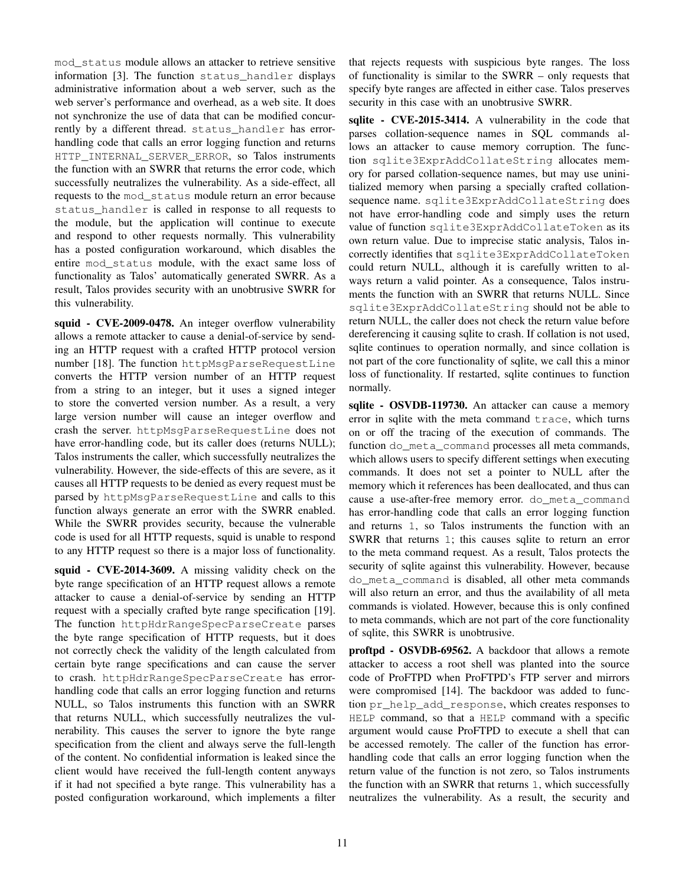mod\_status module allows an attacker to retrieve sensitive information [3]. The function status\_handler displays administrative information about a web server, such as the web server's performance and overhead, as a web site. It does not synchronize the use of data that can be modified concurrently by a different thread. status\_handler has errorhandling code that calls an error logging function and returns HTTP\_INTERNAL\_SERVER\_ERROR, so Talos instruments the function with an SWRR that returns the error code, which successfully neutralizes the vulnerability. As a side-effect, all requests to the mod\_status module return an error because status\_handler is called in response to all requests to the module, but the application will continue to execute and respond to other requests normally. This vulnerability has a posted configuration workaround, which disables the entire mod\_status module, with the exact same loss of functionality as Talos' automatically generated SWRR. As a result, Talos provides security with an unobtrusive SWRR for this vulnerability.

squid - CVE-2009-0478. An integer overflow vulnerability allows a remote attacker to cause a denial-of-service by sending an HTTP request with a crafted HTTP protocol version number [18]. The function httpMsgParseRequestLine converts the HTTP version number of an HTTP request from a string to an integer, but it uses a signed integer to store the converted version number. As a result, a very large version number will cause an integer overflow and crash the server. httpMsgParseRequestLine does not have error-handling code, but its caller does (returns NULL); Talos instruments the caller, which successfully neutralizes the vulnerability. However, the side-effects of this are severe, as it causes all HTTP requests to be denied as every request must be parsed by httpMsgParseRequestLine and calls to this function always generate an error with the SWRR enabled. While the SWRR provides security, because the vulnerable code is used for all HTTP requests, squid is unable to respond to any HTTP request so there is a major loss of functionality.

squid - CVE-2014-3609. A missing validity check on the byte range specification of an HTTP request allows a remote attacker to cause a denial-of-service by sending an HTTP request with a specially crafted byte range specification [19]. The function httpHdrRangeSpecParseCreate parses the byte range specification of HTTP requests, but it does not correctly check the validity of the length calculated from certain byte range specifications and can cause the server to crash. httpHdrRangeSpecParseCreate has errorhandling code that calls an error logging function and returns NULL, so Talos instruments this function with an SWRR that returns NULL, which successfully neutralizes the vulnerability. This causes the server to ignore the byte range specification from the client and always serve the full-length of the content. No confidential information is leaked since the client would have received the full-length content anyways if it had not specified a byte range. This vulnerability has a posted configuration workaround, which implements a filter

that rejects requests with suspicious byte ranges. The loss of functionality is similar to the SWRR – only requests that specify byte ranges are affected in either case. Talos preserves security in this case with an unobtrusive SWRR.

sqlite - CVE-2015-3414. A vulnerability in the code that parses collation-sequence names in SQL commands allows an attacker to cause memory corruption. The function sqlite3ExprAddCollateString allocates memory for parsed collation-sequence names, but may use uninitialized memory when parsing a specially crafted collationsequence name. sqlite3ExprAddCollateString does not have error-handling code and simply uses the return value of function sqlite3ExprAddCollateToken as its own return value. Due to imprecise static analysis, Talos incorrectly identifies that sqlite3ExprAddCollateToken could return NULL, although it is carefully written to always return a valid pointer. As a consequence, Talos instruments the function with an SWRR that returns NULL. Since sqlite3ExprAddCollateString should not be able to return NULL, the caller does not check the return value before dereferencing it causing sqlite to crash. If collation is not used, sqlite continues to operation normally, and since collation is not part of the core functionality of sqlite, we call this a minor loss of functionality. If restarted, sqlite continues to function normally.

sqlite - OSVDB-119730. An attacker can cause a memory error in sqlite with the meta command trace, which turns on or off the tracing of the execution of commands. The function do\_meta\_command processes all meta commands, which allows users to specify different settings when executing commands. It does not set a pointer to NULL after the memory which it references has been deallocated, and thus can cause a use-after-free memory error. do\_meta\_command has error-handling code that calls an error logging function and returns 1, so Talos instruments the function with an SWRR that returns 1; this causes sqlite to return an error to the meta command request. As a result, Talos protects the security of sqlite against this vulnerability. However, because do\_meta\_command is disabled, all other meta commands will also return an error, and thus the availability of all meta commands is violated. However, because this is only confined to meta commands, which are not part of the core functionality of sqlite, this SWRR is unobtrusive.

proftpd - OSVDB-69562. A backdoor that allows a remote attacker to access a root shell was planted into the source code of ProFTPD when ProFTPD's FTP server and mirrors were compromised [14]. The backdoor was added to function pr\_help\_add\_response, which creates responses to HELP command, so that a HELP command with a specific argument would cause ProFTPD to execute a shell that can be accessed remotely. The caller of the function has errorhandling code that calls an error logging function when the return value of the function is not zero, so Talos instruments the function with an SWRR that returns 1, which successfully neutralizes the vulnerability. As a result, the security and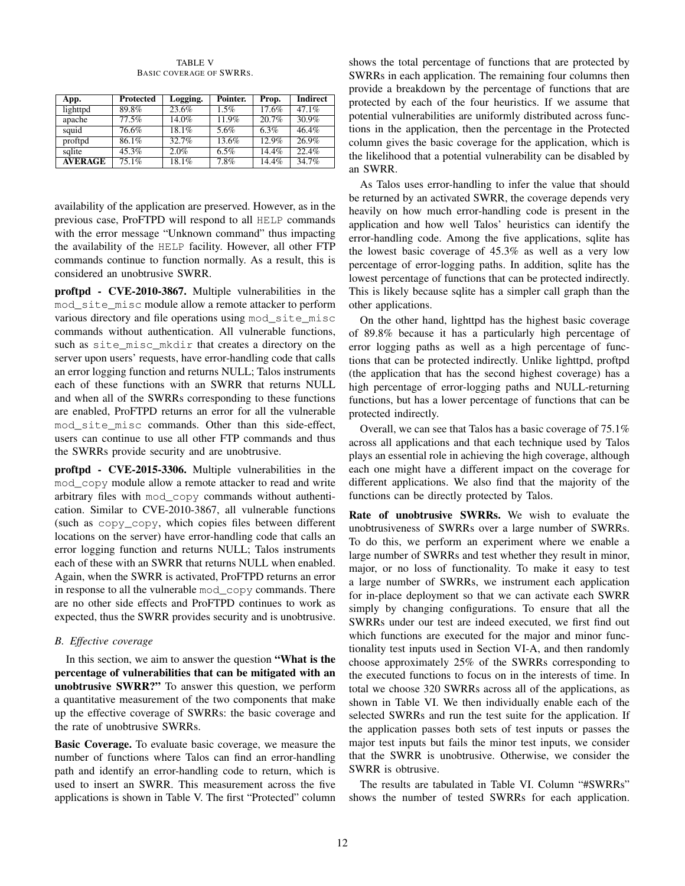| App.           | <b>Protected</b> | Logging. | Pointer. | Prop. | <b>Indirect</b> |
|----------------|------------------|----------|----------|-------|-----------------|
| lighttpd       | 89.8%            | 23.6%    | 1.5%     | 17.6% | 47.1%           |
| apache         | 77.5%            | 14.0%    | 11.9%    | 20.7% | 30.9%           |
| squid          | 76.6%            | 18.1%    | 5.6%     | 6.3%  | 46.4%           |
| proftpd        | 86.1%            | 32.7%    | 13.6%    | 12.9% | 26.9%           |
| salite         | 45.3%            | 2.0%     | 6.5%     | 14.4% | 22.4%           |
| <b>AVERAGE</b> | 75.1%            | 18.1%    | 7.8%     | 14.4% | 34.7%           |

#### TABLE V BASIC COVERAGE OF SWRRS.

availability of the application are preserved. However, as in the previous case, ProFTPD will respond to all HELP commands with the error message "Unknown command" thus impacting the availability of the HELP facility. However, all other FTP commands continue to function normally. As a result, this is considered an unobtrusive SWRR.

proftpd - CVE-2010-3867. Multiple vulnerabilities in the mod\_site\_misc module allow a remote attacker to perform various directory and file operations using mod\_site\_misc commands without authentication. All vulnerable functions, such as site\_misc\_mkdir that creates a directory on the server upon users' requests, have error-handling code that calls an error logging function and returns NULL; Talos instruments each of these functions with an SWRR that returns NULL and when all of the SWRRs corresponding to these functions are enabled, ProFTPD returns an error for all the vulnerable mod\_site\_misc commands. Other than this side-effect, users can continue to use all other FTP commands and thus the SWRRs provide security and are unobtrusive.

proftpd - CVE-2015-3306. Multiple vulnerabilities in the mod\_copy module allow a remote attacker to read and write arbitrary files with mod\_copy commands without authentication. Similar to CVE-2010-3867, all vulnerable functions (such as copy\_copy, which copies files between different locations on the server) have error-handling code that calls an error logging function and returns NULL; Talos instruments each of these with an SWRR that returns NULL when enabled. Again, when the SWRR is activated, ProFTPD returns an error in response to all the vulnerable mod\_copy commands. There are no other side effects and ProFTPD continues to work as expected, thus the SWRR provides security and is unobtrusive.

# *B. Effective coverage*

In this section, we aim to answer the question "What is the percentage of vulnerabilities that can be mitigated with an unobtrusive SWRR?" To answer this question, we perform a quantitative measurement of the two components that make up the effective coverage of SWRRs: the basic coverage and the rate of unobtrusive SWRRs.

Basic Coverage. To evaluate basic coverage, we measure the number of functions where Talos can find an error-handling path and identify an error-handling code to return, which is used to insert an SWRR. This measurement across the five applications is shown in Table V. The first "Protected" column shows the total percentage of functions that are protected by SWRRs in each application. The remaining four columns then provide a breakdown by the percentage of functions that are protected by each of the four heuristics. If we assume that potential vulnerabilities are uniformly distributed across functions in the application, then the percentage in the Protected column gives the basic coverage for the application, which is the likelihood that a potential vulnerability can be disabled by an SWRR.

As Talos uses error-handling to infer the value that should be returned by an activated SWRR, the coverage depends very heavily on how much error-handling code is present in the application and how well Talos' heuristics can identify the error-handling code. Among the five applications, sqlite has the lowest basic coverage of 45.3% as well as a very low percentage of error-logging paths. In addition, sqlite has the lowest percentage of functions that can be protected indirectly. This is likely because sqlite has a simpler call graph than the other applications.

On the other hand, lighttpd has the highest basic coverage of 89.8% because it has a particularly high percentage of error logging paths as well as a high percentage of functions that can be protected indirectly. Unlike lighttpd, proftpd (the application that has the second highest coverage) has a high percentage of error-logging paths and NULL-returning functions, but has a lower percentage of functions that can be protected indirectly.

Overall, we can see that Talos has a basic coverage of 75.1% across all applications and that each technique used by Talos plays an essential role in achieving the high coverage, although each one might have a different impact on the coverage for different applications. We also find that the majority of the functions can be directly protected by Talos.

Rate of unobtrusive SWRRs. We wish to evaluate the unobtrusiveness of SWRRs over a large number of SWRRs. To do this, we perform an experiment where we enable a large number of SWRRs and test whether they result in minor, major, or no loss of functionality. To make it easy to test a large number of SWRRs, we instrument each application for in-place deployment so that we can activate each SWRR simply by changing configurations. To ensure that all the SWRRs under our test are indeed executed, we first find out which functions are executed for the major and minor functionality test inputs used in Section VI-A, and then randomly choose approximately 25% of the SWRRs corresponding to the executed functions to focus on in the interests of time. In total we choose 320 SWRRs across all of the applications, as shown in Table VI. We then individually enable each of the selected SWRRs and run the test suite for the application. If the application passes both sets of test inputs or passes the major test inputs but fails the minor test inputs, we consider that the SWRR is unobtrusive. Otherwise, we consider the SWRR is obtrusive.

The results are tabulated in Table VI. Column "#SWRRs" shows the number of tested SWRRs for each application.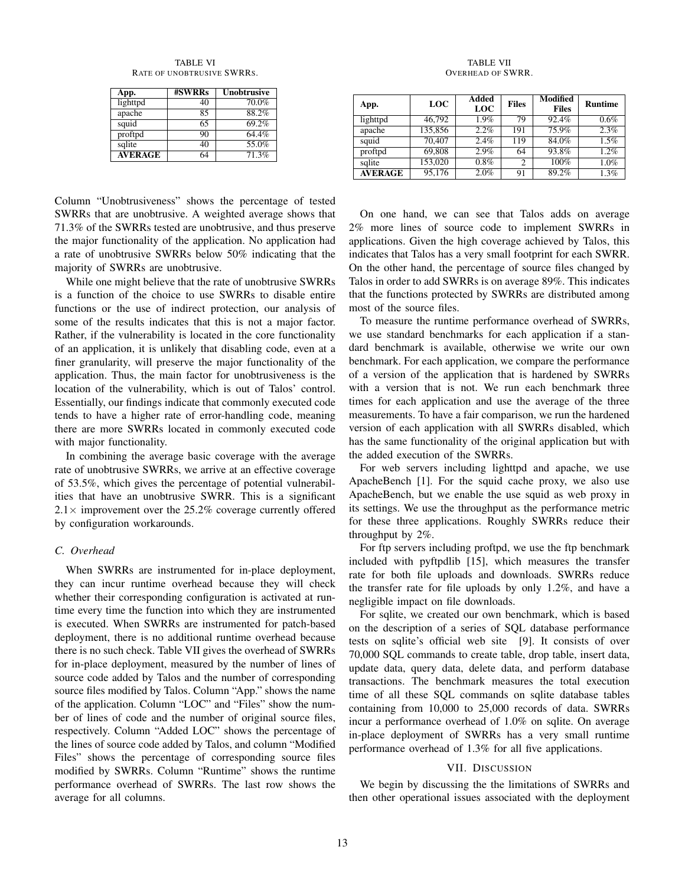TABLE VI RATE OF UNOBTRUSIVE SWRRS.

| App.           | #SWRRs | Unobtrusive |
|----------------|--------|-------------|
| lighttpd       | 40     | 70.0%       |
| apache         | 85     | 88.2%       |
| squid          | 65     | 69.2%       |
| proftpd        | 90     | 64.4%       |
| sqlite         | 40     | 55.0%       |
| <b>AVERAGE</b> | 64     | 71.3%       |

Column "Unobtrusiveness" shows the percentage of tested SWRRs that are unobtrusive. A weighted average shows that 71.3% of the SWRRs tested are unobtrusive, and thus preserve the major functionality of the application. No application had a rate of unobtrusive SWRRs below 50% indicating that the majority of SWRRs are unobtrusive.

While one might believe that the rate of unobtrusive SWRRs is a function of the choice to use SWRRs to disable entire functions or the use of indirect protection, our analysis of some of the results indicates that this is not a major factor. Rather, if the vulnerability is located in the core functionality of an application, it is unlikely that disabling code, even at a finer granularity, will preserve the major functionality of the application. Thus, the main factor for unobtrusiveness is the location of the vulnerability, which is out of Talos' control. Essentially, our findings indicate that commonly executed code tends to have a higher rate of error-handling code, meaning there are more SWRRs located in commonly executed code with major functionality.

In combining the average basic coverage with the average rate of unobtrusive SWRRs, we arrive at an effective coverage of 53.5%, which gives the percentage of potential vulnerabilities that have an unobtrusive SWRR. This is a significant  $2.1 \times$  improvement over the 25.2% coverage currently offered by configuration workarounds.

#### *C. Overhead*

When SWRRs are instrumented for in-place deployment, they can incur runtime overhead because they will check whether their corresponding configuration is activated at runtime every time the function into which they are instrumented is executed. When SWRRs are instrumented for patch-based deployment, there is no additional runtime overhead because there is no such check. Table VII gives the overhead of SWRRs for in-place deployment, measured by the number of lines of source code added by Talos and the number of corresponding source files modified by Talos. Column "App." shows the name of the application. Column "LOC" and "Files" show the number of lines of code and the number of original source files, respectively. Column "Added LOC" shows the percentage of the lines of source code added by Talos, and column "Modified Files" shows the percentage of corresponding source files modified by SWRRs. Column "Runtime" shows the runtime performance overhead of SWRRs. The last row shows the average for all columns.

TABLE VII OVERHEAD OF SWRR.

| App.           | <b>LOC</b> | Added<br>LOC | <b>Files</b>   | Modified<br><b>Files</b> | <b>Runtime</b> |
|----------------|------------|--------------|----------------|--------------------------|----------------|
| lighttpd       | 46.792     | 1.9%         | 79             | 92.4%                    | 0.6%           |
| apache         | 135,856    | 2.2%         | 191            | 75.9%                    | 2.3%           |
| squid          | 70.407     | 2.4%         | 119            | 84.0%                    | 1.5%           |
| proftpd        | 69,808     | 2.9%         | 64             | 93.8%                    | 1.2%           |
| sqlite         | 153,020    | 0.8%         | $\overline{c}$ | 100%                     | 1.0%           |
| <b>AVERAGE</b> | 95,176     | 2.0%         | 91             | 89.2%                    | 1.3%           |

On one hand, we can see that Talos adds on average 2% more lines of source code to implement SWRRs in applications. Given the high coverage achieved by Talos, this indicates that Talos has a very small footprint for each SWRR. On the other hand, the percentage of source files changed by Talos in order to add SWRRs is on average 89%. This indicates that the functions protected by SWRRs are distributed among most of the source files.

To measure the runtime performance overhead of SWRRs, we use standard benchmarks for each application if a standard benchmark is available, otherwise we write our own benchmark. For each application, we compare the performance of a version of the application that is hardened by SWRRs with a version that is not. We run each benchmark three times for each application and use the average of the three measurements. To have a fair comparison, we run the hardened version of each application with all SWRRs disabled, which has the same functionality of the original application but with the added execution of the SWRRs.

For web servers including lighttpd and apache, we use ApacheBench [1]. For the squid cache proxy, we also use ApacheBench, but we enable the use squid as web proxy in its settings. We use the throughput as the performance metric for these three applications. Roughly SWRRs reduce their throughput by 2%.

For ftp servers including proftpd, we use the ftp benchmark included with pyftpdlib [15], which measures the transfer rate for both file uploads and downloads. SWRRs reduce the transfer rate for file uploads by only 1.2%, and have a negligible impact on file downloads.

For sqlite, we created our own benchmark, which is based on the description of a series of SQL database performance tests on sqlite's official web site [9]. It consists of over 70,000 SQL commands to create table, drop table, insert data, update data, query data, delete data, and perform database transactions. The benchmark measures the total execution time of all these SQL commands on sqlite database tables containing from 10,000 to 25,000 records of data. SWRRs incur a performance overhead of 1.0% on sqlite. On average in-place deployment of SWRRs has a very small runtime performance overhead of 1.3% for all five applications.

## VII. DISCUSSION

We begin by discussing the the limitations of SWRRs and then other operational issues associated with the deployment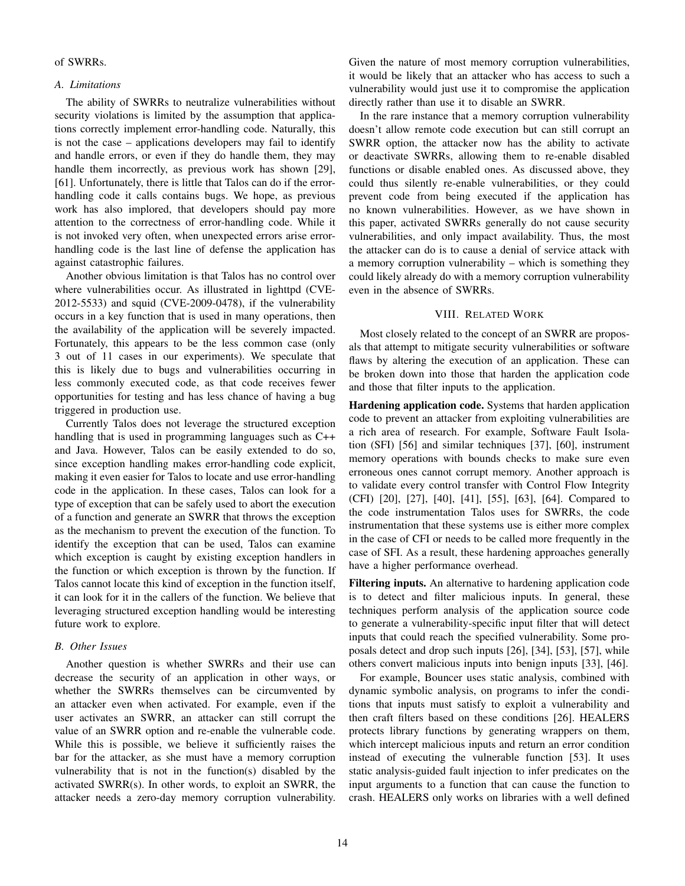# of SWRRs.

## *A. Limitations*

The ability of SWRRs to neutralize vulnerabilities without security violations is limited by the assumption that applications correctly implement error-handling code. Naturally, this is not the case – applications developers may fail to identify and handle errors, or even if they do handle them, they may handle them incorrectly, as previous work has shown [29], [61]. Unfortunately, there is little that Talos can do if the errorhandling code it calls contains bugs. We hope, as previous work has also implored, that developers should pay more attention to the correctness of error-handling code. While it is not invoked very often, when unexpected errors arise errorhandling code is the last line of defense the application has against catastrophic failures.

Another obvious limitation is that Talos has no control over where vulnerabilities occur. As illustrated in lighttpd (CVE-2012-5533) and squid (CVE-2009-0478), if the vulnerability occurs in a key function that is used in many operations, then the availability of the application will be severely impacted. Fortunately, this appears to be the less common case (only 3 out of 11 cases in our experiments). We speculate that this is likely due to bugs and vulnerabilities occurring in less commonly executed code, as that code receives fewer opportunities for testing and has less chance of having a bug triggered in production use.

Currently Talos does not leverage the structured exception handling that is used in programming languages such as C++ and Java. However, Talos can be easily extended to do so, since exception handling makes error-handling code explicit, making it even easier for Talos to locate and use error-handling code in the application. In these cases, Talos can look for a type of exception that can be safely used to abort the execution of a function and generate an SWRR that throws the exception as the mechanism to prevent the execution of the function. To identify the exception that can be used, Talos can examine which exception is caught by existing exception handlers in the function or which exception is thrown by the function. If Talos cannot locate this kind of exception in the function itself, it can look for it in the callers of the function. We believe that leveraging structured exception handling would be interesting future work to explore.

# *B. Other Issues*

Another question is whether SWRRs and their use can decrease the security of an application in other ways, or whether the SWRRs themselves can be circumvented by an attacker even when activated. For example, even if the user activates an SWRR, an attacker can still corrupt the value of an SWRR option and re-enable the vulnerable code. While this is possible, we believe it sufficiently raises the bar for the attacker, as she must have a memory corruption vulnerability that is not in the function(s) disabled by the activated SWRR(s). In other words, to exploit an SWRR, the attacker needs a zero-day memory corruption vulnerability. Given the nature of most memory corruption vulnerabilities, it would be likely that an attacker who has access to such a vulnerability would just use it to compromise the application directly rather than use it to disable an SWRR.

In the rare instance that a memory corruption vulnerability doesn't allow remote code execution but can still corrupt an SWRR option, the attacker now has the ability to activate or deactivate SWRRs, allowing them to re-enable disabled functions or disable enabled ones. As discussed above, they could thus silently re-enable vulnerabilities, or they could prevent code from being executed if the application has no known vulnerabilities. However, as we have shown in this paper, activated SWRRs generally do not cause security vulnerabilities, and only impact availability. Thus, the most the attacker can do is to cause a denial of service attack with a memory corruption vulnerability – which is something they could likely already do with a memory corruption vulnerability even in the absence of SWRRs.

# VIII. RELATED WORK

Most closely related to the concept of an SWRR are proposals that attempt to mitigate security vulnerabilities or software flaws by altering the execution of an application. These can be broken down into those that harden the application code and those that filter inputs to the application.

Hardening application code. Systems that harden application code to prevent an attacker from exploiting vulnerabilities are a rich area of research. For example, Software Fault Isolation (SFI) [56] and similar techniques [37], [60], instrument memory operations with bounds checks to make sure even erroneous ones cannot corrupt memory. Another approach is to validate every control transfer with Control Flow Integrity (CFI) [20], [27], [40], [41], [55], [63], [64]. Compared to the code instrumentation Talos uses for SWRRs, the code instrumentation that these systems use is either more complex in the case of CFI or needs to be called more frequently in the case of SFI. As a result, these hardening approaches generally have a higher performance overhead.

Filtering inputs. An alternative to hardening application code is to detect and filter malicious inputs. In general, these techniques perform analysis of the application source code to generate a vulnerability-specific input filter that will detect inputs that could reach the specified vulnerability. Some proposals detect and drop such inputs [26], [34], [53], [57], while others convert malicious inputs into benign inputs [33], [46].

For example, Bouncer uses static analysis, combined with dynamic symbolic analysis, on programs to infer the conditions that inputs must satisfy to exploit a vulnerability and then craft filters based on these conditions [26]. HEALERS protects library functions by generating wrappers on them, which intercept malicious inputs and return an error condition instead of executing the vulnerable function [53]. It uses static analysis-guided fault injection to infer predicates on the input arguments to a function that can cause the function to crash. HEALERS only works on libraries with a well defined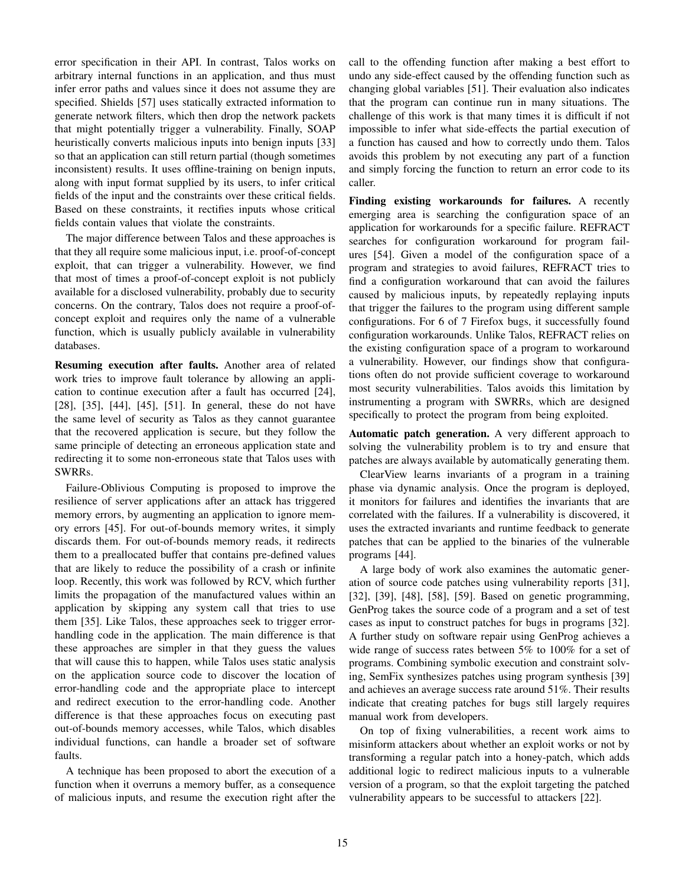error specification in their API. In contrast, Talos works on arbitrary internal functions in an application, and thus must infer error paths and values since it does not assume they are specified. Shields [57] uses statically extracted information to generate network filters, which then drop the network packets that might potentially trigger a vulnerability. Finally, SOAP heuristically converts malicious inputs into benign inputs [33] so that an application can still return partial (though sometimes inconsistent) results. It uses offline-training on benign inputs, along with input format supplied by its users, to infer critical fields of the input and the constraints over these critical fields. Based on these constraints, it rectifies inputs whose critical fields contain values that violate the constraints.

The major difference between Talos and these approaches is that they all require some malicious input, i.e. proof-of-concept exploit, that can trigger a vulnerability. However, we find that most of times a proof-of-concept exploit is not publicly available for a disclosed vulnerability, probably due to security concerns. On the contrary, Talos does not require a proof-ofconcept exploit and requires only the name of a vulnerable function, which is usually publicly available in vulnerability databases.

Resuming execution after faults. Another area of related work tries to improve fault tolerance by allowing an application to continue execution after a fault has occurred [24], [28], [35], [44], [45], [51]. In general, these do not have the same level of security as Talos as they cannot guarantee that the recovered application is secure, but they follow the same principle of detecting an erroneous application state and redirecting it to some non-erroneous state that Talos uses with SWRRs.

Failure-Oblivious Computing is proposed to improve the resilience of server applications after an attack has triggered memory errors, by augmenting an application to ignore memory errors [45]. For out-of-bounds memory writes, it simply discards them. For out-of-bounds memory reads, it redirects them to a preallocated buffer that contains pre-defined values that are likely to reduce the possibility of a crash or infinite loop. Recently, this work was followed by RCV, which further limits the propagation of the manufactured values within an application by skipping any system call that tries to use them [35]. Like Talos, these approaches seek to trigger errorhandling code in the application. The main difference is that these approaches are simpler in that they guess the values that will cause this to happen, while Talos uses static analysis on the application source code to discover the location of error-handling code and the appropriate place to intercept and redirect execution to the error-handling code. Another difference is that these approaches focus on executing past out-of-bounds memory accesses, while Talos, which disables individual functions, can handle a broader set of software faults.

A technique has been proposed to abort the execution of a function when it overruns a memory buffer, as a consequence of malicious inputs, and resume the execution right after the call to the offending function after making a best effort to undo any side-effect caused by the offending function such as changing global variables [51]. Their evaluation also indicates that the program can continue run in many situations. The challenge of this work is that many times it is difficult if not impossible to infer what side-effects the partial execution of a function has caused and how to correctly undo them. Talos avoids this problem by not executing any part of a function and simply forcing the function to return an error code to its caller.

Finding existing workarounds for failures. A recently emerging area is searching the configuration space of an application for workarounds for a specific failure. REFRACT searches for configuration workaround for program failures [54]. Given a model of the configuration space of a program and strategies to avoid failures, REFRACT tries to find a configuration workaround that can avoid the failures caused by malicious inputs, by repeatedly replaying inputs that trigger the failures to the program using different sample configurations. For 6 of 7 Firefox bugs, it successfully found configuration workarounds. Unlike Talos, REFRACT relies on the existing configuration space of a program to workaround a vulnerability. However, our findings show that configurations often do not provide sufficient coverage to workaround most security vulnerabilities. Talos avoids this limitation by instrumenting a program with SWRRs, which are designed specifically to protect the program from being exploited.

Automatic patch generation. A very different approach to solving the vulnerability problem is to try and ensure that patches are always available by automatically generating them.

ClearView learns invariants of a program in a training phase via dynamic analysis. Once the program is deployed, it monitors for failures and identifies the invariants that are correlated with the failures. If a vulnerability is discovered, it uses the extracted invariants and runtime feedback to generate patches that can be applied to the binaries of the vulnerable programs [44].

A large body of work also examines the automatic generation of source code patches using vulnerability reports [31], [32], [39], [48], [58], [59]. Based on genetic programming, GenProg takes the source code of a program and a set of test cases as input to construct patches for bugs in programs [32]. A further study on software repair using GenProg achieves a wide range of success rates between 5% to 100% for a set of programs. Combining symbolic execution and constraint solving, SemFix synthesizes patches using program synthesis [39] and achieves an average success rate around 51%. Their results indicate that creating patches for bugs still largely requires manual work from developers.

On top of fixing vulnerabilities, a recent work aims to misinform attackers about whether an exploit works or not by transforming a regular patch into a honey-patch, which adds additional logic to redirect malicious inputs to a vulnerable version of a program, so that the exploit targeting the patched vulnerability appears to be successful to attackers [22].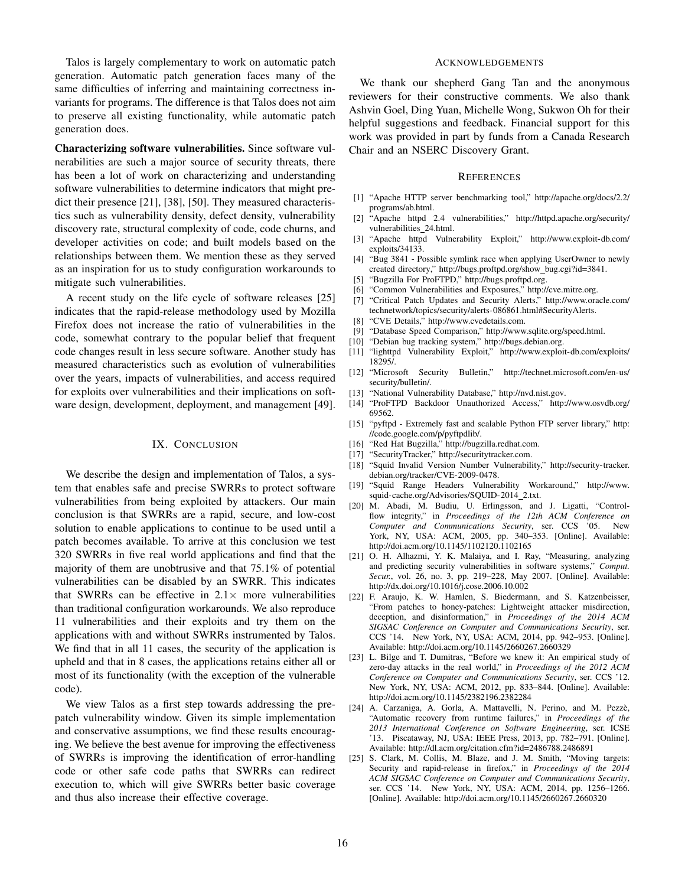Talos is largely complementary to work on automatic patch generation. Automatic patch generation faces many of the same difficulties of inferring and maintaining correctness invariants for programs. The difference is that Talos does not aim to preserve all existing functionality, while automatic patch generation does.

Characterizing software vulnerabilities. Since software vulnerabilities are such a major source of security threats, there has been a lot of work on characterizing and understanding software vulnerabilities to determine indicators that might predict their presence [21], [38], [50]. They measured characteristics such as vulnerability density, defect density, vulnerability discovery rate, structural complexity of code, code churns, and developer activities on code; and built models based on the relationships between them. We mention these as they served as an inspiration for us to study configuration workarounds to mitigate such vulnerabilities.

A recent study on the life cycle of software releases [25] indicates that the rapid-release methodology used by Mozilla Firefox does not increase the ratio of vulnerabilities in the code, somewhat contrary to the popular belief that frequent code changes result in less secure software. Another study has measured characteristics such as evolution of vulnerabilities over the years, impacts of vulnerabilities, and access required for exploits over vulnerabilities and their implications on software design, development, deployment, and management [49].

# IX. CONCLUSION

We describe the design and implementation of Talos, a system that enables safe and precise SWRRs to protect software vulnerabilities from being exploited by attackers. Our main conclusion is that SWRRs are a rapid, secure, and low-cost solution to enable applications to continue to be used until a patch becomes available. To arrive at this conclusion we test 320 SWRRs in five real world applications and find that the majority of them are unobtrusive and that 75.1% of potential vulnerabilities can be disabled by an SWRR. This indicates that SWRRs can be effective in  $2.1 \times$  more vulnerabilities than traditional configuration workarounds. We also reproduce 11 vulnerabilities and their exploits and try them on the applications with and without SWRRs instrumented by Talos. We find that in all 11 cases, the security of the application is upheld and that in 8 cases, the applications retains either all or most of its functionality (with the exception of the vulnerable code).

We view Talos as a first step towards addressing the prepatch vulnerability window. Given its simple implementation and conservative assumptions, we find these results encouraging. We believe the best avenue for improving the effectiveness of SWRRs is improving the identification of error-handling code or other safe code paths that SWRRs can redirect execution to, which will give SWRRs better basic coverage and thus also increase their effective coverage.

## ACKNOWLEDGEMENTS

We thank our shepherd Gang Tan and the anonymous reviewers for their constructive comments. We also thank Ashvin Goel, Ding Yuan, Michelle Wong, Sukwon Oh for their helpful suggestions and feedback. Financial support for this work was provided in part by funds from a Canada Research Chair and an NSERC Discovery Grant.

## **REFERENCES**

- [1] "Apache HTTP server benchmarking tool," http://apache.org/docs/2.2/ programs/ab.html.
- [2] "Apache httpd 2.4 vulnerabilities," http://httpd.apache.org/security/ vulnerabilities 24.html.
- [3] "Apache httpd Vulnerability Exploit," http://www.exploit-db.com/ exploits/34133.
- [4] "Bug 3841 Possible symlink race when applying UserOwner to newly created directory," http://bugs.proftpd.org/show\_bug.cgi?id=3841.
- [5] "Bugzilla For ProFTPD," http://bugs.proftpd.org.
- [6] "Common Vulnerabilities and Exposures," http://cve.mitre.org.
- [7] "Critical Patch Updates and Security Alerts," http://www.oracle.com/ technetwork/topics/security/alerts-086861.html#SecurityAlerts.
- [8] "CVE Details," http://www.cvedetails.com.
- [9] "Database Speed Comparison," http://www.sqlite.org/speed.html.
- [10] "Debian bug tracking system," http://bugs.debian.org.
- [11] "lighttpd Vulnerability Exploit," http://www.exploit-db.com/exploits/ 18295/.
- [12] "Microsoft Security Bulletin," http://technet.microsoft.com/en-us/ security/bulletin/.
- [13] "National Vulnerability Database," http://nvd.nist.gov.
- [14] "ProFTPD Backdoor Unauthorized Access," http://www.osvdb.org/ 69562.
- [15] "pyftpd Extremely fast and scalable Python FTP server library," http: //code.google.com/p/pyftpdlib/.
- [16] "Red Hat Bugzilla," http://bugzilla.redhat.com.
- [17] "SecurityTracker," http://securitytracker.com.
- [18] "Squid Invalid Version Number Vulnerability," http://security-tracker. debian.org/tracker/CVE-2009-0478.
- [19] "Squid Range Headers Vulnerability Workaround," http://www. squid-cache.org/Advisories/SQUID-2014\_2.txt.
- [20] M. Abadi, M. Budiu, U. Erlingsson, and J. Ligatti, "Controlflow integrity," in *Proceedings of the 12th ACM Conference on Computer and Communications Security*, ser. CCS '05. New York, NY, USA: ACM, 2005, pp. 340–353. [Online]. Available: http://doi.acm.org/10.1145/1102120.1102165
- [21] O. H. Alhazmi, Y. K. Malaiya, and I. Ray, "Measuring, analyzing and predicting security vulnerabilities in software systems," *Comput. Secur.*, vol. 26, no. 3, pp. 219–228, May 2007. [Online]. Available: http://dx.doi.org/10.1016/j.cose.2006.10.002
- [22] F. Araujo, K. W. Hamlen, S. Biedermann, and S. Katzenbeisser, "From patches to honey-patches: Lightweight attacker misdirection, deception, and disinformation," in *Proceedings of the 2014 ACM SIGSAC Conference on Computer and Communications Security*, ser. CCS '14. New York, NY, USA: ACM, 2014, pp. 942–953. [Online]. Available: http://doi.acm.org/10.1145/2660267.2660329
- [23] L. Bilge and T. Dumitras, "Before we knew it: An empirical study of zero-day attacks in the real world," in *Proceedings of the 2012 ACM Conference on Computer and Communications Security*, ser. CCS '12. New York, NY, USA: ACM, 2012, pp. 833–844. [Online]. Available: http://doi.acm.org/10.1145/2382196.2382284
- [24] A. Carzaniga, A. Gorla, A. Mattavelli, N. Perino, and M. Pezzè, "Automatic recovery from runtime failures," in *Proceedings of the 2013 International Conference on Software Engineering*, ser. ICSE '13. Piscataway, NJ, USA: IEEE Press, 2013, pp. 782–791. [Online]. Available: http://dl.acm.org/citation.cfm?id=2486788.2486891
- [25] S. Clark, M. Collis, M. Blaze, and J. M. Smith, "Moving targets: Security and rapid-release in firefox," in *Proceedings of the 2014 ACM SIGSAC Conference on Computer and Communications Security*, ser. CCS '14. New York, NY, USA: ACM, 2014, pp. 1256–1266. [Online]. Available: http://doi.acm.org/10.1145/2660267.2660320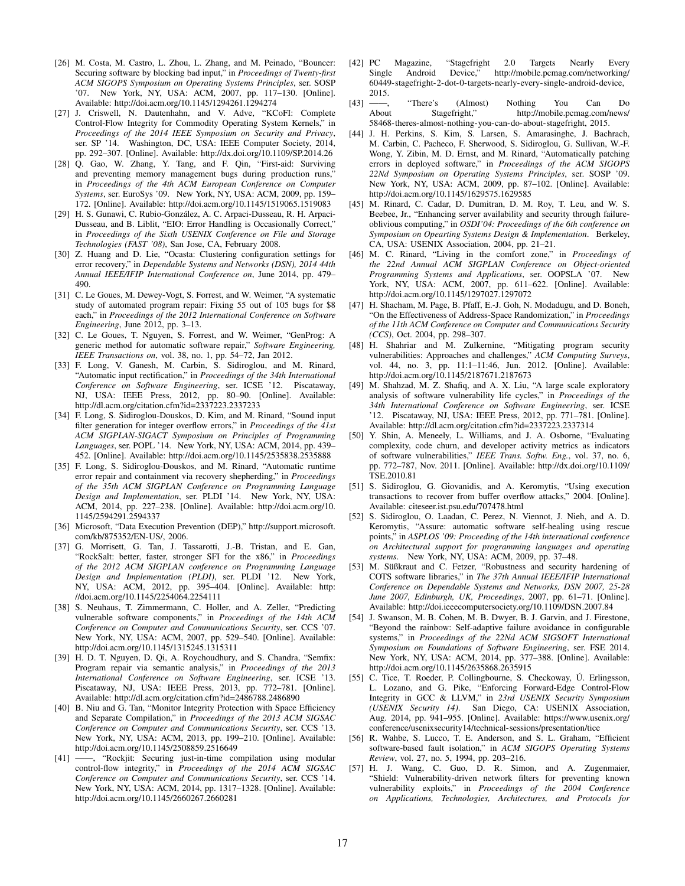- [26] M. Costa, M. Castro, L. Zhou, L. Zhang, and M. Peinado, "Bouncer: Securing software by blocking bad input," in *Proceedings of Twenty-first ACM SIGOPS Symposium on Operating Systems Principles*, ser. SOSP '07. New York, NY, USA: ACM, 2007, pp. 117–130. [Online]. Available: http://doi.acm.org/10.1145/1294261.1294274
- [27] J. Criswell, N. Dautenhahn, and V. Adve, "KCoFI: Complete Control-Flow Integrity for Commodity Operating System Kernels," in *Proceedings of the 2014 IEEE Symposium on Security and Privacy*, ser. SP '14. Washington, DC, USA: IEEE Computer Society, 2014, pp. 292–307. [Online]. Available: http://dx.doi.org/10.1109/SP.2014.26
- [28] Q. Gao, W. Zhang, Y. Tang, and F. Qin, "First-aid: Surviving and preventing memory management bugs during production runs," in *Proceedings of the 4th ACM European Conference on Computer Systems*, ser. EuroSys '09. New York, NY, USA: ACM, 2009, pp. 159– 172. [Online]. Available: http://doi.acm.org/10.1145/1519065.1519083
- [29] H. S. Gunawi, C. Rubio-González, A. C. Arpaci-Dusseau, R. H. Arpaci-Dusseau, and B. Liblit, "EIO: Error Handling is Occasionally Correct," in *Proceedings of the Sixth USENIX Conference on File and Storage Technologies (FAST '08)*, San Jose, CA, February 2008.
- [30] Z. Huang and D. Lie, "Ocasta: Clustering configuration settings for error recovery," in *Dependable Systems and Networks (DSN), 2014 44th Annual IEEE/IFIP International Conference on*, June 2014, pp. 479– 490.
- [31] C. Le Goues, M. Dewey-Vogt, S. Forrest, and W. Weimer, "A systematic study of automated program repair: Fixing 55 out of 105 bugs for \$8 each," in *Proceedings of the 2012 International Conference on Software Engineering*, June 2012, pp. 3–13.
- [32] C. Le Goues, T. Nguyen, S. Forrest, and W. Weimer, "GenProg: A generic method for automatic software repair," *Software Engineering, IEEE Transactions on*, vol. 38, no. 1, pp. 54–72, Jan 2012.
- [33] F. Long, V. Ganesh, M. Carbin, S. Sidiroglou, and M. Rinard, "Automatic input rectification," in *Proceedings of the 34th International Conference on Software Engineering*, ser. ICSE '12. Piscataway, NJ, USA: IEEE Press, 2012, pp. 80–90. [Online]. Available: http://dl.acm.org/citation.cfm?id=2337223.2337233
- [34] F. Long, S. Sidiroglou-Douskos, D. Kim, and M. Rinard, "Sound input filter generation for integer overflow errors," in *Proceedings of the 41st ACM SIGPLAN-SIGACT Symposium on Principles of Programming Languages*, ser. POPL '14. New York, NY, USA: ACM, 2014, pp. 439– 452. [Online]. Available: http://doi.acm.org/10.1145/2535838.2535888
- [35] F. Long, S. Sidiroglou-Douskos, and M. Rinard, "Automatic runtime error repair and containment via recovery shepherding," in *Proceedings of the 35th ACM SIGPLAN Conference on Programming Language Design and Implementation*, ser. PLDI '14. New York, NY, USA: ACM, 2014, pp. 227–238. [Online]. Available: http://doi.acm.org/10. 1145/2594291.2594337
- [36] Microsoft, "Data Execution Prevention (DEP)," http://support.microsoft. com/kb/875352/EN-US/, 2006.
- [37] G. Morrisett, G. Tan, J. Tassarotti, J.-B. Tristan, and E. Gan, "RockSalt: better, faster, stronger SFI for the x86," in *Proceedings of the 2012 ACM SIGPLAN conference on Programming Language Design and Implementation (PLDI)*, ser. PLDI '12. New York, NY, USA: ACM, 2012, pp. 395–404. [Online]. Available: http: //doi.acm.org/10.1145/2254064.2254111
- [38] S. Neuhaus, T. Zimmermann, C. Holler, and A. Zeller, "Predicting vulnerable software components," in *Proceedings of the 14th ACM Conference on Computer and Communications Security*, ser. CCS '07. New York, NY, USA: ACM, 2007, pp. 529–540. [Online]. Available: http://doi.acm.org/10.1145/1315245.1315311
- [39] H. D. T. Nguyen, D. Qi, A. Roychoudhury, and S. Chandra, "Semfix: Program repair via semantic analysis," in *Proceedings of the 2013 International Conference on Software Engineering*, ser. ICSE '13. Piscataway, NJ, USA: IEEE Press, 2013, pp. 772-781. [Online]. Available: http://dl.acm.org/citation.cfm?id=2486788.2486890
- [40] B. Niu and G. Tan, "Monitor Integrity Protection with Space Efficiency and Separate Compilation," in *Proceedings of the 2013 ACM SIGSAC Conference on Computer and Communications Security*, ser. CCS '13. New York, NY, USA: ACM, 2013, pp. 199–210. [Online]. Available: http://doi.acm.org/10.1145/2508859.2516649
- [41] ——, "Rockjit: Securing just-in-time compilation using modular control-flow integrity," in *Proceedings of the 2014 ACM SIGSAC Conference on Computer and Communications Security*, ser. CCS '14. New York, NY, USA: ACM, 2014, pp. 1317–1328. [Online]. Available: http://doi.acm.org/10.1145/2660267.2660281
- [42] PC Magazine, "Stagefright 2.0 Targets Nearly Every Single Android Device," http://mobile.pcmag.com/networking/ 60449-stagefright-2-dot-0-targets-nearly-every-single-android-device, 2015.
- [43] ——, "There's (Almost) Nothing You Can Do About Stagefright," http://mobile.pcmag.com/news/ 58468-theres-almost-nothing-you-can-do-about-stagefright, 2015.
- [44] J. H. Perkins, S. Kim, S. Larsen, S. Amarasinghe, J. Bachrach, M. Carbin, C. Pacheco, F. Sherwood, S. Sidiroglou, G. Sullivan, W.-F. Wong, Y. Zibin, M. D. Ernst, and M. Rinard, "Automatically patching errors in deployed software," in *Proceedings of the ACM SIGOPS 22Nd Symposium on Operating Systems Principles*, ser. SOSP '09. New York, NY, USA: ACM, 2009, pp. 87–102. [Online]. Available: http://doi.acm.org/10.1145/1629575.1629585
- [45] M. Rinard, C. Cadar, D. Dumitran, D. M. Roy, T. Leu, and W. S. Beebee, Jr., "Enhancing server availability and security through failureoblivious computing," in *OSDI'04: Proceedings of the 6th conference on Symposium on Opearting Systems Design & Implementation*. Berkeley, CA, USA: USENIX Association, 2004, pp. 21–21.
- [46] M. C. Rinard, "Living in the comfort zone," in *Proceedings of the 22nd Annual ACM SIGPLAN Conference on Object-oriented Programming Systems and Applications*, ser. OOPSLA '07. New York, NY, USA: ACM, 2007, pp. 611–622. [Online]. Available: http://doi.acm.org/10.1145/1297027.1297072
- [47] H. Shacham, M. Page, B. Pfaff, E.-J. Goh, N. Modadugu, and D. Boneh, "On the Effectiveness of Address-Space Randomization," in *Proceedings of the 11th ACM Conference on Computer and Communications Security (CCS)*, Oct. 2004, pp. 298–307.
- [48] H. Shahriar and M. Zulkernine, "Mitigating program security vulnerabilities: Approaches and challenges," *ACM Computing Surveys*, vol. 44, no. 3, pp. 11:1–11:46, Jun. 2012. [Online]. Available: http://doi.acm.org/10.1145/2187671.2187673
- [49] M. Shahzad, M. Z. Shafiq, and A. X. Liu, "A large scale exploratory analysis of software vulnerability life cycles," in *Proceedings of the 34th International Conference on Software Engineering*, ser. ICSE '12. Piscataway, NJ, USA: IEEE Press, 2012, pp. 771–781. [Online]. Available: http://dl.acm.org/citation.cfm?id=2337223.2337314
- [50] Y. Shin, A. Meneely, L. Williams, and J. A. Osborne, "Evaluating complexity, code churn, and developer activity metrics as indicators of software vulnerabilities," *IEEE Trans. Softw. Eng.*, vol. 37, no. 6, pp. 772–787, Nov. 2011. [Online]. Available: http://dx.doi.org/10.1109/ TSE.2010.81
- [51] S. Sidiroglou, G. Giovanidis, and A. Keromytis, "Using execution transactions to recover from buffer overflow attacks," 2004. [Online]. Available: citeseer.ist.psu.edu/707478.html
- [52] S. Sidiroglou, O. Laadan, C. Perez, N. Viennot, J. Nieh, and A. D. Keromytis, "Assure: automatic software self-healing using rescue points," in *ASPLOS '09: Proceeding of the 14th international conference on Architectural support for programming languages and operating systems*. New York, NY, USA: ACM, 2009, pp. 37–48.
- [53] M. Süßkraut and C. Fetzer, "Robustness and security hardening of COTS software libraries," in *The 37th Annual IEEE/IFIP International Conference on Dependable Systems and Networks, DSN 2007, 25-28 June 2007, Edinburgh, UK, Proceedings*, 2007, pp. 61–71. [Online]. Available: http://doi.ieeecomputersociety.org/10.1109/DSN.2007.84
- [54] J. Swanson, M. B. Cohen, M. B. Dwyer, B. J. Garvin, and J. Firestone, "Beyond the rainbow: Self-adaptive failure avoidance in configurable systems," in *Proceedings of the 22Nd ACM SIGSOFT International Symposium on Foundations of Software Engineering*, ser. FSE 2014. New York, NY, USA: ACM, 2014, pp. 377–388. [Online]. Available: http://doi.acm.org/10.1145/2635868.2635915
- [55] C. Tice, T. Roeder, P. Collingbourne, S. Checkoway, Ú. Erlingsson, L. Lozano, and G. Pike, "Enforcing Forward-Edge Control-Flow Integrity in GCC & LLVM," in *23rd USENIX Security Symposium (USENIX Security 14)*. San Diego, CA: USENIX Association, Aug. 2014, pp. 941–955. [Online]. Available: https://www.usenix.org/ conference/usenixsecurity14/technical-sessions/presentation/tice
- [56] R. Wahbe, S. Lucco, T. E. Anderson, and S. L. Graham, "Efficient software-based fault isolation," in *ACM SIGOPS Operating Systems Review*, vol. 27, no. 5, 1994, pp. 203–216.
- [57] H. J. Wang, C. Guo, D. R. Simon, and A. Zugenmaier, "Shield: Vulnerability-driven network filters for preventing known vulnerability exploits," in *Proceedings of the 2004 Conference on Applications, Technologies, Architectures, and Protocols for*